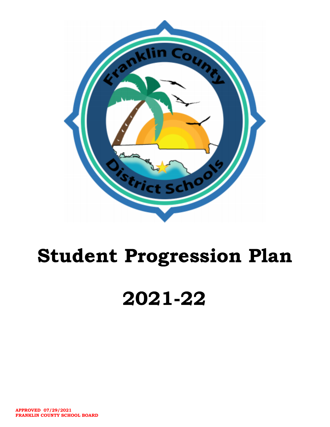

# Student Progression Plan

# 2021-22

**APPROVED 07/29/2021 FRANKLIN COUNTY SCHOOL BOARD**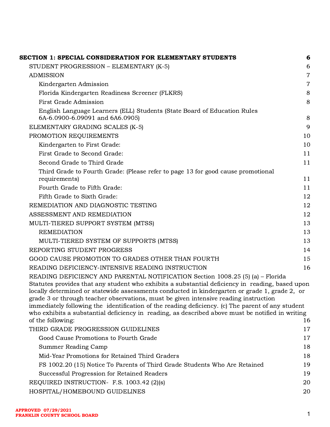| SECTION 1: SPECIAL CONSIDERATION FOR ELEMENTARY STUDENTS                                                                                                                                                                                                                                                                                                                                                                                                                                          | 6              |
|---------------------------------------------------------------------------------------------------------------------------------------------------------------------------------------------------------------------------------------------------------------------------------------------------------------------------------------------------------------------------------------------------------------------------------------------------------------------------------------------------|----------------|
| STUDENT PROGRESSION - ELEMENTARY (K-5)                                                                                                                                                                                                                                                                                                                                                                                                                                                            | 6              |
| <b>ADMISSION</b>                                                                                                                                                                                                                                                                                                                                                                                                                                                                                  | $\overline{7}$ |
| Kindergarten Admission                                                                                                                                                                                                                                                                                                                                                                                                                                                                            | $\overline{7}$ |
| Florida Kindergarten Readiness Screener (FLKRS)                                                                                                                                                                                                                                                                                                                                                                                                                                                   | 8              |
| <b>First Grade Admission</b>                                                                                                                                                                                                                                                                                                                                                                                                                                                                      | 8              |
| English Language Learners (ELL) Students (State Board of Education Rules<br>6A-6.0900-6.09091 and 6A6.0905)                                                                                                                                                                                                                                                                                                                                                                                       | 8              |
| ELEMENTARY GRADING SCALES (K-5)                                                                                                                                                                                                                                                                                                                                                                                                                                                                   | 9              |
| PROMOTION REQUIREMENTS                                                                                                                                                                                                                                                                                                                                                                                                                                                                            | 10             |
| Kindergarten to First Grade:                                                                                                                                                                                                                                                                                                                                                                                                                                                                      | 10             |
| First Grade to Second Grade:                                                                                                                                                                                                                                                                                                                                                                                                                                                                      | 11             |
| Second Grade to Third Grade                                                                                                                                                                                                                                                                                                                                                                                                                                                                       | 11             |
| Third Grade to Fourth Grade: (Please refer to page 13 for good cause promotional                                                                                                                                                                                                                                                                                                                                                                                                                  |                |
| requirements)<br>Fourth Grade to Fifth Grade:                                                                                                                                                                                                                                                                                                                                                                                                                                                     | 11             |
| Fifth Grade to Sixth Grade:                                                                                                                                                                                                                                                                                                                                                                                                                                                                       | 11<br>12       |
| REMEDIATION AND DIAGNOSTIC TESTING                                                                                                                                                                                                                                                                                                                                                                                                                                                                | 12             |
| ASSESSMENT AND REMEDIATION                                                                                                                                                                                                                                                                                                                                                                                                                                                                        | 12             |
|                                                                                                                                                                                                                                                                                                                                                                                                                                                                                                   | 13             |
| MULTI-TIERED SUPPORT SYSTEM (MTSS)<br><b>REMEDIATION</b>                                                                                                                                                                                                                                                                                                                                                                                                                                          | 13             |
| MULTI-TIERED SYSTEM OF SUPPORTS (MTSS)                                                                                                                                                                                                                                                                                                                                                                                                                                                            | 13             |
| REPORTING STUDENT PROGRESS                                                                                                                                                                                                                                                                                                                                                                                                                                                                        | 14             |
| <b>GOOD CAUSE PROMOTION TO GRADES OTHER THAN FOURTH</b>                                                                                                                                                                                                                                                                                                                                                                                                                                           | 15             |
| READING DEFICIENCY-INTENSIVE READING INSTRUCTION                                                                                                                                                                                                                                                                                                                                                                                                                                                  | 16             |
| READING DEFICIENCY AND PARENTAL NOTIFICATION Section 1008.25 (5) (a) - Florida                                                                                                                                                                                                                                                                                                                                                                                                                    |                |
| Statutes provides that any student who exhibits a substantial deficiency in reading, based upon<br>locally determined or statewide assessments conducted in kindergarten or grade 1, grade 2, or<br>grade 3 or through teacher observations, must be given intensive reading instruction<br>immediately following the identification of the reading deficiency. (c) The parent of any student<br>who exhibits a substantial deficiency in reading, as described above must be notified in writing |                |
| of the following:                                                                                                                                                                                                                                                                                                                                                                                                                                                                                 | 16             |
| THIRD GRADE PROGRESSION GUIDELINES                                                                                                                                                                                                                                                                                                                                                                                                                                                                | 17             |
| Good Cause Promotions to Fourth Grade                                                                                                                                                                                                                                                                                                                                                                                                                                                             | 17             |
| Summer Reading Camp                                                                                                                                                                                                                                                                                                                                                                                                                                                                               | 18             |
| Mid-Year Promotions for Retained Third Graders                                                                                                                                                                                                                                                                                                                                                                                                                                                    | 18             |
| FS 1002.20 (15) Notice To Parents of Third Grade Students Who Are Retained                                                                                                                                                                                                                                                                                                                                                                                                                        | 19             |
| Successful Progression for Retained Readers                                                                                                                                                                                                                                                                                                                                                                                                                                                       | 19             |
| REQUIRED INSTRUCTION- F.S. 1003.42 (2)(s)                                                                                                                                                                                                                                                                                                                                                                                                                                                         | 20             |
| HOSPITAL/HOMEBOUND GUIDELINES                                                                                                                                                                                                                                                                                                                                                                                                                                                                     | 20             |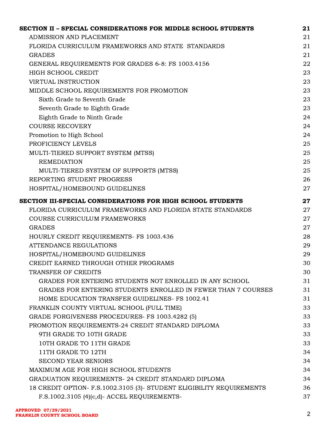| SECTION II – SPECIAL CONSIDERATIONS FOR MIDDLE SCHOOL STUDENTS         | 21 |
|------------------------------------------------------------------------|----|
| ADMISSION AND PLACEMENT                                                | 21 |
| FLORIDA CURRICULUM FRAMEWORKS AND STATE STANDARDS                      | 21 |
| <b>GRADES</b>                                                          | 21 |
| GENERAL REQUIREMENTS FOR GRADES 6-8: FS 1003.4156                      | 22 |
| HIGH SCHOOL CREDIT                                                     | 23 |
| <b>VIRTUAL INSTRUCTION</b>                                             | 23 |
| MIDDLE SCHOOL REQUIREMENTS FOR PROMOTION                               | 23 |
| Sixth Grade to Seventh Grade                                           | 23 |
| Seventh Grade to Eighth Grade                                          | 23 |
| Eighth Grade to Ninth Grade                                            | 24 |
| <b>COURSE RECOVERY</b>                                                 | 24 |
| Promotion to High School                                               | 24 |
| PROFICIENCY LEVELS                                                     | 25 |
| MULTI-TIERED SUPPORT SYSTEM (MTSS)                                     | 25 |
| <b>REMEDIATION</b>                                                     | 25 |
| MULTI-TIERED SYSTEM OF SUPPORTS (MTSS)                                 | 25 |
| REPORTING STUDENT PROGRESS                                             | 26 |
| HOSPITAL/HOMEBOUND GUIDELINES                                          | 27 |
| SECTION III-SPECIAL CONSIDERATIONS FOR HIGH SCHOOL STUDENTS            | 27 |
| FLORIDA CURRICULUM FRAMEWORKS AND FLORIDA STATE STANDARDS              | 27 |
| COURSE CURRICULUM FRAMEWORKS                                           | 27 |
| <b>GRADES</b>                                                          | 27 |
| HOURLY CREDIT REQUIREMENTS- FS 1003.436                                | 28 |
| <b>ATTENDANCE REGULATIONS</b>                                          | 29 |
| HOSPITAL/HOMEBOUND GUIDELINES                                          | 29 |
| CREDIT EARNED THROUGH OTHER PROGRAMS                                   | 30 |
| TRANSFER OF CREDITS                                                    | 30 |
| GRADES FOR ENTERING STUDENTS NOT ENROLLED IN ANY SCHOOL                | 31 |
| GRADES FOR ENTERING STUDENTS ENROLLED IN FEWER THAN 7 COURSES          | 31 |
| HOME EDUCATION TRANSFER GUIDELINES- FS 1002.41                         | 31 |
| FRANKLIN COUNTY VIRTUAL SCHOOL (FULL TIME)                             | 33 |
| GRADE FORGIVENESS PROCEDURES- FS 1003.4282 (5)                         | 33 |
| PROMOTION REQUIREMENTS-24 CREDIT STANDARD DIPLOMA                      | 33 |
| 9TH GRADE TO 10TH GRADE                                                | 33 |
| 10TH GRADE TO 11TH GRADE                                               | 33 |
| 11TH GRADE TO 12TH                                                     | 34 |
| <b>SECOND YEAR SENIORS</b>                                             | 34 |
| MAXIMUM AGE FOR HIGH SCHOOL STUDENTS                                   | 34 |
| GRADUATION REQUIREMENTS- 24 CREDIT STANDARD DIPLOMA                    | 34 |
| 18 CREDIT OPTION- F.S. 1002.3105 (3)- STUDENT ELIGIBILITY REQUIREMENTS | 36 |
| F.S.1002.3105 (4)(c,d)- ACCEL REQUIREMENTS-                            | 37 |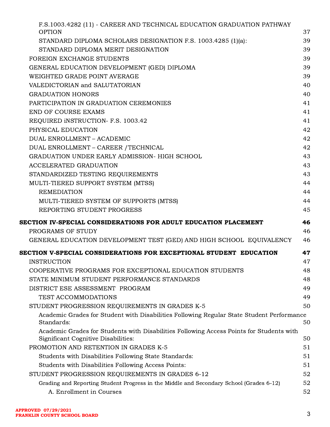| F.S.1003.4282 (11) - CAREER AND TECHNICAL EDUCATION GRADUATION PATHWAY<br><b>OPTION</b>                                         | 37 |
|---------------------------------------------------------------------------------------------------------------------------------|----|
| STANDARD DIPLOMA SCHOLARS DESIGNATION F.S. 1003.4285 (1)(a):                                                                    | 39 |
| STANDARD DIPLOMA MERIT DESIGNATION                                                                                              | 39 |
| FOREIGN EXCHANGE STUDENTS                                                                                                       | 39 |
| GENERAL EDUCATION DEVELOPMENT (GED) DIPLOMA                                                                                     | 39 |
| WEIGHTED GRADE POINT AVERAGE                                                                                                    | 39 |
| VALEDICTORIAN and SALUTATORIAN                                                                                                  | 40 |
| <b>GRADUATION HONORS</b>                                                                                                        | 40 |
| PARTICIPATION IN GRADUATION CEREMONIES                                                                                          | 41 |
| <b>END OF COURSE EXAMS</b>                                                                                                      | 41 |
| REQUIRED INSTRUCTION- F.S. 1003.42                                                                                              | 41 |
| PHYSICAL EDUCATION                                                                                                              | 42 |
| <b>DUAL ENROLLMENT - ACADEMIC</b>                                                                                               | 42 |
| DUAL ENROLLMENT - CAREER / TECHNICAL                                                                                            | 42 |
| GRADUATION UNDER EARLY ADMISSION- HIGH SCHOOL                                                                                   | 43 |
| <b>ACCELERATED GRADUATION</b>                                                                                                   | 43 |
| STANDARDIZED TESTING REQUIREMENTS                                                                                               | 43 |
| MULTI-TIERED SUPPORT SYSTEM (MTSS)                                                                                              | 44 |
| <b>REMEDIATION</b>                                                                                                              | 44 |
| MULTI-TIERED SYSTEM OF SUPPORTS (MTSS)                                                                                          | 44 |
| REPORTING STUDENT PROGRESS                                                                                                      | 45 |
| SECTION IV-SPECIAL CONSIDERATIONS FOR ADULT EDUCATION PLACEMENT                                                                 | 46 |
| PROGRAMS OF STUDY                                                                                                               | 46 |
| GENERAL EDUCATION DEVELOPMENT TEST (GED) AND HIGH SCHOOL EQUIVALENCY                                                            | 46 |
| SECTION V-SPECIAL CONSIDERATIONS FOR EXCEPTIONAL STUDENT EDUCATION                                                              | 47 |
| <b>INSTRUCTION</b>                                                                                                              | 47 |
| COOPERATIVE PROGRAMS FOR EXCEPTIONAL EDUCATION STUDENTS                                                                         | 48 |
| STATE MINIMUM STUDENT PERFORMANCE STANDARDS                                                                                     | 48 |
| DISTRICT ESE ASSESSMENT PROGRAM                                                                                                 | 49 |
| TEST ACCOMMODATIONS                                                                                                             | 49 |
| STUDENT PROGRESSION REQUIREMENTS IN GRADES K-5                                                                                  | 50 |
| Academic Grades for Student with Disabilities Following Regular State Student Performance<br>Standards:                         | 50 |
| Academic Grades for Students with Disabilities Following Access Points for Students with<br>Significant Cognitive Disabilities: | 50 |
| PROMOTION AND RETENTION IN GRADES K-5                                                                                           | 51 |
| Students with Disabilities Following State Standards:                                                                           | 51 |
| Students with Disabilities Following Access Points:                                                                             | 51 |
| STUDENT PROGRESSION REQUIREMENTS IN GRADES 6-12                                                                                 | 52 |
| Grading and Reporting Student Progress in the Middle and Secondary School (Grades 6-12)                                         | 52 |
| A. Enrollment in Courses                                                                                                        | 52 |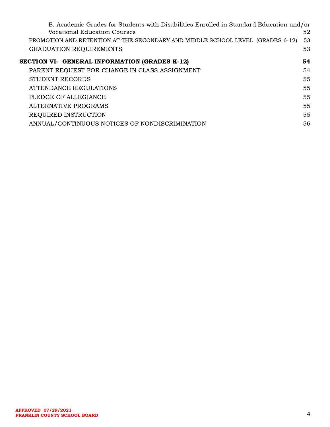| B. Academic Grades for Students with Disabilities Enrolled in Standard Education and/or<br>Vocational Education Courses<br>PROMOTION AND RETENTION AT THE SECONDARY AND MIDDLE SCHOOL LEVEL (GRADES 6-12)<br><b>GRADUATION REQUIREMENTS</b> | 52<br>53<br>53 |
|---------------------------------------------------------------------------------------------------------------------------------------------------------------------------------------------------------------------------------------------|----------------|
| SECTION VI- GENERAL INFORMATION (GRADES K-12)                                                                                                                                                                                               | 54             |
| PARENT REQUEST FOR CHANGE IN CLASS ASSIGNMENT                                                                                                                                                                                               | 54             |
| <b>STUDENT RECORDS</b>                                                                                                                                                                                                                      | 55             |
| ATTENDANCE REGULATIONS                                                                                                                                                                                                                      | 55             |
| PLEDGE OF ALLEGIANCE                                                                                                                                                                                                                        | 55             |
| ALTERNATIVE PROGRAMS                                                                                                                                                                                                                        | 55             |
| REQUIRED INSTRUCTION                                                                                                                                                                                                                        | 55             |
| ANNUAL/CONTINUOUS NOTICES OF NONDISCRIMINATION                                                                                                                                                                                              | 56             |
|                                                                                                                                                                                                                                             |                |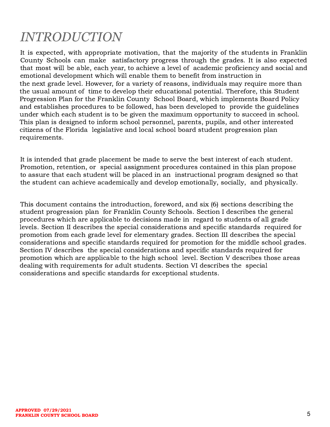# *INTRODUCTION*

It is expected, with appropriate motivation, that the majority of the students in Franklin County Schools can make satisfactory progress through the grades. It is also expected that most will be able, each year, to achieve a level of academic proficiency and social and emotional development which will enable them to benefit from instruction in the next grade level. However, for a variety of reasons, individuals may require more than the usual amount of time to develop their educational potential. Therefore, this Student Progression Plan for the Franklin County School Board, which implements Board Policy and establishes procedures to be followed, has been developed to provide the guidelines under which each student is to be given the maximum opportunity to succeed in school. This plan is designed to inform school personnel, parents, pupils, and other interested citizens of the Florida legislative and local school board student progression plan requirements.

It is intended that grade placement be made to serve the best interest of each student. Promotion, retention, or special assignment procedures contained in this plan propose to assure that each student will be placed in an instructional program designed so that the student can achieve academically and develop emotionally, socially, and physically.

This document contains the introduction, foreword, and six (6) sections describing the student progression plan for Franklin County Schools. Section I describes the general procedures which are applicable to decisions made in regard to students of all grade levels. Section II describes the special considerations and specific standards required for promotion from each grade level for elementary grades. Section III describes the special considerations and specific standards required for promotion for the middle school grades. Section IV describes the special considerations and specific standards required for promotion which are applicable to the high school level. Section V describes those areas dealing with requirements for adult students. Section VI describes the special considerations and specific standards for exceptional students.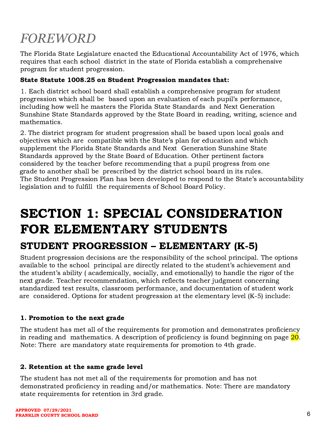# *FOREWORD*

The Florida State Legislature enacted the Educational Accountability Act of 1976, which requires that each school district in the state of Florida establish a comprehensive program for student progression.

#### State Statute 1008.25 on Student Progression mandates that:

1. Each district school board shall establish a comprehensive program for student progression which shall be based upon an evaluation of each pupil's performance, including how well he masters the Florida State Standards and Next Generation Sunshine State Standards approved by the State Board in reading, writing, science and mathematics.

2. The district program for student progression shall be based upon local goals and objectives which are compatible with the State's plan for education and which supplement the Florida State Standards and Next Generation Sunshine State Standards approved by the State Board of Education. Other pertinent factors considered by the teacher before recommending that a pupil progress from one grade to another shall be prescribed by the district school board in its rules. The Student Progression Plan has been developed to respond to the State's accountability legislation and to fulfill the requirements of School Board Policy.

# <span id="page-6-0"></span>SECTION 1: SPECIAL CONSIDERATION FOR ELEMENTARY STUDENTS

## <span id="page-6-1"></span>STUDENT PROGRESSION – ELEMENTARY (K-5)

Student progression decisions are the responsibility of the school principal. The options available to the school principal are directly related to the student's achievement and the student's ability ( academically, socially, and emotionally) to handle the rigor of the next grade. Teacher recommendation, which reflects teacher judgment concerning standardized test results, classroom performance, and documentation of student work are considered. Options for student progression at the elementary level (K-5) include:

#### 1. Promotion to the next grade

The student has met all of the requirements for promotion and demonstrates proficiency in reading and mathematics. A description of proficiency is found beginning on page  $\overline{20}$ . Note: There are mandatory state requirements for promotion to 4th grade.

#### 2. Retention at the same grade level

The student has not met all of the requirements for promotion and has not demonstrated proficiency in reading and/or mathematics. Note: There are mandatory state requirements for retention in 3rd grade.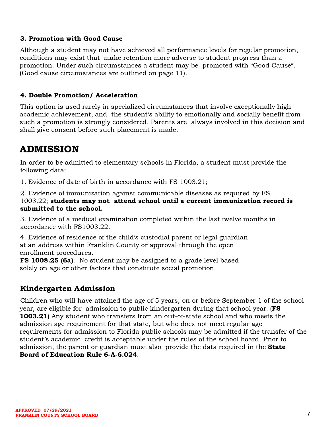#### 3. Promotion with Good Cause

Although a student may not have achieved all performance levels for regular promotion, conditions may exist that make retention more adverse to student progress than a promotion. Under such circumstances a student may be promoted with "Good Cause". (Good cause circumstances are outlined on page 11).

#### 4. Double Promotion/ Acceleration

This option is used rarely in specialized circumstances that involve exceptionally high academic achievement, and the student's ability to emotionally and socially benefit from such a promotion is strongly considered. Parents are always involved in this decision and shall give consent before such placement is made.

# <span id="page-7-0"></span>ADMISSION

In order to be admitted to elementary schools in Florida, a student must provide the following data:

1. Evidence of date of birth in accordance with FS 1003.21;

2. Evidence of immunization against communicable diseases as required by FS 1003.22; students may not attend school until a current immunization record is submitted to the school.

3. Evidence of a medical examination completed within the last twelve months in accordance with FS1003.22.

4. Evidence of residence of the child's custodial parent or legal guardian at an address within Franklin County or approval through the open enrollment procedures.

**FS 1008.25 (6a).** No student may be assigned to a grade level based solely on age or other factors that constitute social promotion.

### <span id="page-7-1"></span>Kindergarten Admission

Children who will have attained the age of 5 years, on or before September 1 of the school year, are eligible for admission to public kindergarten during that school year. (FS 1003.21) Any student who transfers from an out-of-state school and who meets the admission age requirement for that state, but who does not meet regular age requirements for admission to Florida public schools may be admitted if the transfer of the student's academic credit is acceptable under the rules of the school board. Prior to admission, the parent or guardian must also provide the data required in the **State** Board of Education Rule 6-A-6.024.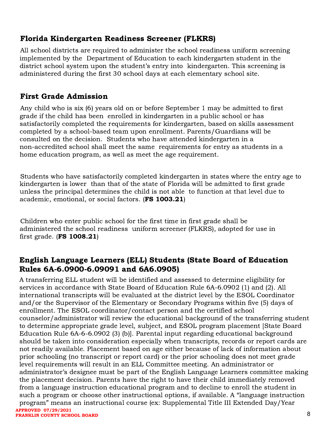### <span id="page-8-0"></span>Florida Kindergarten Readiness Screener (FLKRS)

All school districts are required to administer the school readiness uniform screening implemented by the Department of Education to each kindergarten student in the district school system upon the student's entry into kindergarten. This screening is administered during the first 30 school days at each elementary school site.

### <span id="page-8-1"></span>First Grade Admission

Any child who is six (6) years old on or before September 1 may be admitted to first grade if the child has been enrolled in kindergarten in a public school or has satisfactorily completed the requirements for kindergarten, based on skills assessment completed by a school-based team upon enrollment. Parents/Guardians will be consulted on the decision. Students who have attended kindergarten in a non-accredited school shall meet the same requirements for entry as students in a home education program, as well as meet the age requirement.

Students who have satisfactorily completed kindergarten in states where the entry age to kindergarten is lower than that of the state of Florida will be admitted to first grade unless the principal determines the child is not able to function at that level due to academic, emotional, or social factors. (FS 1003.21)

Children who enter public school for the first time in first grade shall be administered the school readiness uniform screener (FLKRS), adopted for use in first grade.  $(FS 1008.21)$ 

### <span id="page-8-2"></span>English Language Learners (ELL) Students (State Board of Education Rules 6A-6.0900-6.09091 and 6A6.0905)

A transferring ELL student will be identified and assessed to determine eligibility for services in accordance with State Board of Education Rule 6A-6.0902 (1) and (2). All international transcripts will be evaluated at the district level by the ESOL Coordinator and/or the Supervisor of the Elementary or Secondary Programs within five (5) days of enrollment. The ESOL coordinator/contact person and the certified school counselor/administrator will review the educational background of the transferring student to determine appropriate grade level, subject, and ESOL program placement [State Board Education Rule 6A-6-6.0902 (3) (b)]. Parental input regarding educational background should be taken into consideration especially when transcripts, records or report cards are not readily available. Placement based on age either because of lack of information about prior schooling (no transcript or report card) or the prior schooling does not meet grade level requirements will result in an ELL Committee meeting. An administrator or administrator's designee must be part of the English Language Learners committee making the placement decision. Parents have the right to have their child immediately removed from a language instruction educational program and to decline to enroll the student in such a program or choose other instructional options, if available. A "language instruction program" means an instructional course (ex: Supplemental Title III Extended Day/Year 8 **APPROVED 07/29/2021 FRANKLIN COUNTY SCHOOL BOARD**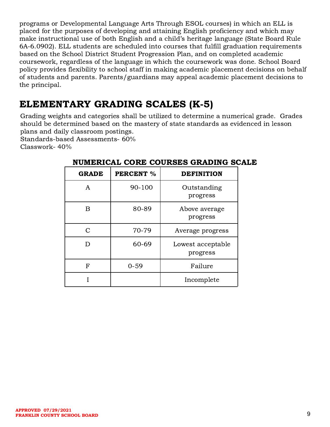programs or Developmental Language Arts Through ESOL courses) in which an ELL is placed for the purposes of developing and attaining English proficiency and which may make instructional use of both English and a child's heritage language (State Board Rule 6A-6.0902). ELL students are scheduled into courses that fulfill graduation requirements based on the School District Student Progression Plan, and on completed academic coursework, regardless of the language in which the coursework was done. School Board policy provides flexibility to school staff in making academic placement decisions on behalf of students and parents. Parents/guardians may appeal academic placement decisions to the principal.

# <span id="page-9-0"></span>ELEMENTARY GRADING SCALES (K-5)

Grading weights and categories shall be utilized to determine a numerical grade. Grades should be determined based on the mastery of state standards as evidenced in lesson plans and daily classroom postings.

Standards-based Assessments- 60%

Classwork- 40%

| <b>GRADE</b>  | <b>PERCENT %</b> | <b>DEFINITION</b>             |  |
|---------------|------------------|-------------------------------|--|
| A             | 90-100           | Outstanding<br>progress       |  |
| В             | 80-89            | Above average<br>progress     |  |
| $\mathcal{C}$ | 70-79            | Average progress              |  |
| נ ו           | 60-69            | Lowest acceptable<br>progress |  |
| F             | $0 - 59$         | Failure                       |  |
|               |                  | Incomplete                    |  |

### NUMERICAL CORE COURSES GRADING SCALE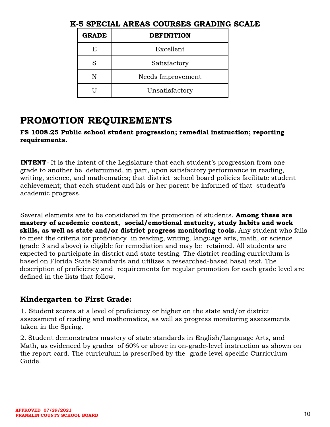| <b>GRADE</b> | <b>DEFINITION</b> |  |
|--------------|-------------------|--|
| F.           | Excellent         |  |
| S            | Satisfactory      |  |
| N            | Needs Improvement |  |
|              | Unsatisfactory    |  |

### K-5 SPECIAL AREAS COURSES GRADING SCALE

### <span id="page-10-0"></span>PROMOTION REQUIREMENTS

FS 1008.25 Public school student progression; remedial instruction; reporting requirements.

**INTENT**- It is the intent of the Legislature that each student's progression from one grade to another be determined, in part, upon satisfactory performance in reading, writing, science, and mathematics; that district school board policies facilitate student achievement; that each student and his or her parent be informed of that student's academic progress.

Several elements are to be considered in the promotion of students. **Among these are** mastery of academic content, social/emotional maturity, study habits and work skills, as well as state and/or district progress monitoring tools. Any student who fails to meet the criteria for proficiency in reading, writing, language arts, math, or science (grade 3 and above) is eligible for remediation and may be retained. All students are expected to participate in district and state testing. The district reading curriculum is based on Florida State Standards and utilizes a researched-based basal text. The description of proficiency and requirements for regular promotion for each grade level are defined in the lists that follow.

### <span id="page-10-1"></span>Kindergarten to First Grade:

1. Student scores at a level of proficiency or higher on the state and/or district assessment of reading and mathematics, as well as progress monitoring assessments taken in the Spring.

2. Student demonstrates mastery of state standards in English/Language Arts, and Math, as evidenced by grades of 60% or above in on-grade-level instruction as shown on the report card. The curriculum is prescribed by the grade level specific Curriculum Guide.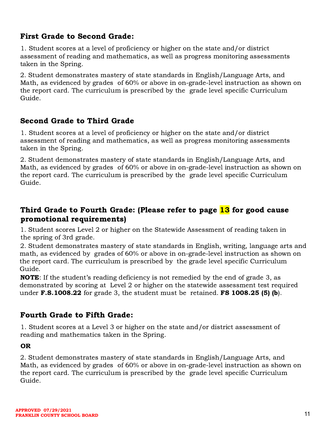### <span id="page-11-0"></span>First Grade to Second Grade:

1. Student scores at a level of proficiency or higher on the state and/or district assessment of reading and mathematics, as well as progress monitoring assessments taken in the Spring.

2. Student demonstrates mastery of state standards in English/Language Arts, and Math, as evidenced by grades of 60% or above in on-grade-level instruction as shown on the report card. The curriculum is prescribed by the grade level specific Curriculum Guide.

### <span id="page-11-1"></span>Second Grade to Third Grade

1. Student scores at a level of proficiency or higher on the state and/or district assessment of reading and mathematics, as well as progress monitoring assessments taken in the Spring.

2. Student demonstrates mastery of state standards in English/Language Arts, and Math, as evidenced by grades of 60% or above in on-grade-level instruction as shown on the report card. The curriculum is prescribed by the grade level specific Curriculum Guide.

### <span id="page-11-2"></span>Third Grade to Fourth Grade: (Please refer to page 13 for good cause promotional requirements)

1. Student scores Level 2 or higher on the Statewide Assessment of reading taken in the spring of 3rd grade.

2. Student demonstrates mastery of state standards in English, writing, language arts and math, as evidenced by grades of 60% or above in on-grade-level instruction as shown on the report card. The curriculum is prescribed by the grade level specific Curriculum Guide.

NOTE: If the student's reading deficiency is not remedied by the end of grade 3, as demonstrated by scoring at Level 2 or higher on the statewide assessment test required under  $\mathbf{F.S.1008.22}$  for grade 3, the student must be retained.  $\mathbf{FS\ 1008.25}$  (5) (b).

### <span id="page-11-3"></span>Fourth Grade to Fifth Grade:

1. Student scores at a Level 3 or higher on the state and/or district assessment of reading and mathematics taken in the Spring.

#### OR

2. Student demonstrates mastery of state standards in English/Language Arts, and Math, as evidenced by grades of 60% or above in on-grade-level instruction as shown on the report card. The curriculum is prescribed by the grade level specific Curriculum Guide.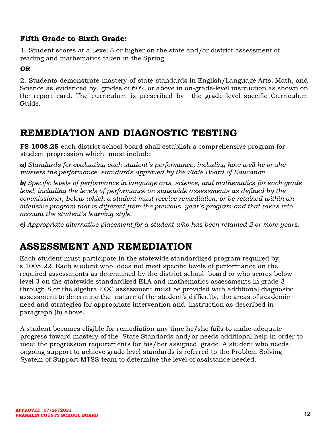### <span id="page-12-0"></span>Fifth Grade to Sixth Grade:

1. Student scores at a Level 3 or higher on the state and/or district assessment of reading and mathematics taken in the Spring.

#### OR

2. Students demonstrate mastery of state standards in English/Language Arts, Math, and Science as evidenced by grades of 60% or above in on-grade-level instruction as shown on the report card. The curriculum is prescribed by the grade level specific Curriculum Guide.

### <span id="page-12-1"></span>REMEDIATION AND DIAGNOSTIC TESTING

FS 1008.25 each district school board shall establish a comprehensive program for student progression which must include:

a) Standards for evaluating each student's performance, including how well he or she masters the performance standards approved by the State Board of Education.

**b)** Specific levels of performance in language arts, science, and mathematics for each grade level, including the levels of performance on statewide assessments as defined by the commissioner, below which a student must receive remediation, or be retained within an intensive program that is different from the previous year's program and that takes into account the student's learning style.

<span id="page-12-2"></span>c) Appropriate alternative placement for a student who has been retained 2 or more years.

## ASSESSMENT AND REMEDIATION

Each student must participate in the statewide standardized program required by s.1008.22. Each student who does not meet specific levels of performance on the required assessments as determined by the district school board or who scores below level 3 on the statewide standardized ELA and mathematics assessments in grade 3 through 8 or the algebra EOC assessment must be provided with additional diagnostic assessment to determine the nature of the student's difficulty, the areas of academic need and strategies for appropriate intervention and instruction as described in paragraph (b) above.

A student becomes eligible for remediation any time he/she fails to make adequate progress toward mastery of the State Standards and/or needs additional help in order to meet the progression requirements for his/her assigned grade. A student who needs ongoing support to achieve grade level standards is referred to the Problem Solving System of Support MTSS team to determine the level of assistance needed.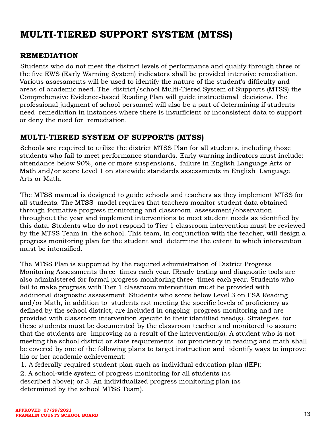# <span id="page-13-0"></span>MULTI-TIERED SUPPORT SYSTEM (MTSS)

### <span id="page-13-1"></span>REMEDIATION

Students who do not meet the district levels of performance and qualify through three of the five EWS (Early Warning System) indicators shall be provided intensive remediation. Various assessments will be used to identify the nature of the student's difficulty and areas of academic need. The district/school Multi-Tiered System of Supports (MTSS) the Comprehensive Evidence-based Reading Plan will guide instructional decisions. The professional judgment of school personnel will also be a part of determining if students need remediation in instances where there is insufficient or inconsistent data to support or deny the need for remediation.

### <span id="page-13-2"></span>MULTI-TIERED SYSTEM OF SUPPORTS (MTSS)

Schools are required to utilize the district MTSS Plan for all students, including those students who fail to meet performance standards. Early warning indicators must include: attendance below 90%, one or more suspensions, failure in English Language Arts or Math and/or score Level 1 on statewide standards assessments in English Language Arts or Math.

The MTSS manual is designed to guide schools and teachers as they implement MTSS for all students. The MTSS model requires that teachers monitor student data obtained through formative progress monitoring and classroom assessment/observation throughout the year and implement interventions to meet student needs as identified by this data. Students who do not respond to Tier 1 classroom intervention must be reviewed by the MTSS Team in the school. This team, in conjunction with the teacher, will design a progress monitoring plan for the student and determine the extent to which intervention must be intensified.

The MTSS Plan is supported by the required administration of District Progress Monitoring Assessments three times each year. IReady testing and diagnostic tools are also administered for formal progress monitoring three times each year. Students who fail to make progress with Tier 1 classroom intervention must be provided with additional diagnostic assessment. Students who score below Level 3 on FSA Reading and/or Math, in addition to students not meeting the specific levels of proficiency as defined by the school district, are included in ongoing progress monitoring and are provided with classroom intervention specific to their identified need(s). Strategies for these students must be documented by the classroom teacher and monitored to assure that the students are improving as a result of the intervention(s). A student who is not meeting the school district or state requirements for proficiency in reading and math shall be covered by one of the following plans to target instruction and identify ways to improve his or her academic achievement:

1. A federally required student plan such as individual education plan (IEP);

2. A school-wide system of progress monitoring for all students (as described above); or 3. An individualized progress monitoring plan (as determined by the school MTSS Team).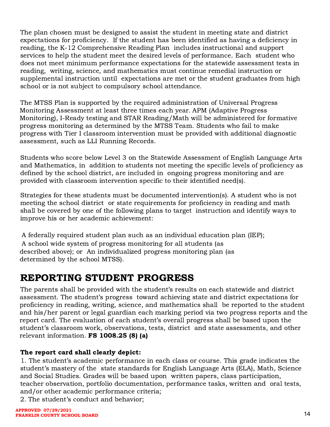The plan chosen must be designed to assist the student in meeting state and district expectations for proficiency. If the student has been identified as having a deficiency in reading, the K-12 Comprehensive Reading Plan includes instructional and support services to help the student meet the desired levels of performance. Each student who does not meet minimum performance expectations for the statewide assessment tests in reading, writing, science, and mathematics must continue remedial instruction or supplemental instruction until expectations are met or the student graduates from high school or is not subject to compulsory school attendance.

The MTSS Plan is supported by the required administration of Universal Progress Monitoring Assessment at least three times each year. APM (Adaptive Progress Monitoring), I-Ready testing and STAR Reading/Math will be administered for formative progress monitoring as determined by the MTSS Team. Students who fail to make progress with Tier I classroom intervention must be provided with additional diagnostic assessment, such as LLI Running Records.

Students who score below Level 3 on the Statewide Assessment of English Language Arts and Mathematics, in addition to students not meeting the specific levels of proficiency as defined by the school district, are included in ongoing progress monitoring and are provided with classroom intervention specific to their identified need(s).

Strategies for these students must be documented intervention(s). A student who is not meeting the school district or state requirements for proficiency in reading and math shall be covered by one of the following plans to target instruction and identify ways to improve his or her academic achievement:

A federally required student plan such as an individual education plan (IEP); A school wide system of progress monitoring for all students (as described above); or An individualized progress monitoring plan (as determined by the school MTSS).

### <span id="page-14-0"></span>REPORTING STUDENT PROGRESS

The parents shall be provided with the student's results on each statewide and district assessment. The student's progress toward achieving state and district expectations for proficiency in reading, writing, science, and mathematics shall be reported to the student and his/her parent or legal guardian each marking period via two progress reports and the report card. The evaluation of each student's overall progress shall be based upon the student's classroom work, observations, tests, district and state assessments, and other relevant information. FS 1008.25 (8) (a)

#### The report card shall clearly depict:

1. The student's academic performance in each class or course. This grade indicates the student's mastery of the state standards for English Language Arts (ELA), Math, Science and Social Studies. Grades will be based upon written papers, class participation, teacher observation, portfolio documentation, performance tasks, written and oral tests, and/or other academic performance criteria;

2. The student's conduct and behavior;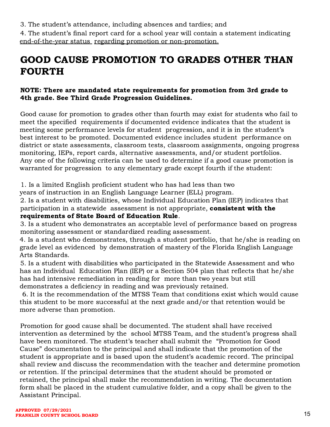3. The student's attendance, including absences and tardies; and

4. The student's final report card for a school year will contain a statement indicating end-of-the-year status regarding promotion or non-promotion.

# <span id="page-15-0"></span>GOOD CAUSE PROMOTION TO GRADES OTHER THAN FOURTH

#### NOTE: There are mandated state requirements for promotion from 3rd grade to 4th grade. See Third Grade Progression Guidelines.

Good cause for promotion to grades other than fourth may exist for students who fail to meet the specified requirements if documented evidence indicates that the student is meeting some performance levels for student progression, and it is in the student's best interest to be promoted. Documented evidence includes student performance on district or state assessments, classroom tests, classroom assignments, ongoing progress monitoring, IEPs, report cards, alternative assessments, and/or student portfolios. Any one of the following criteria can be used to determine if a good cause promotion is warranted for progression to any elementary grade except fourth if the student:

1. Is a limited English proficient student who has had less than two

years of instruction in an English Language Learner (ELL) program.

2. Is a student with disabilities, whose Individual Education Plan (IEP) indicates that participation in a statewide assessment is not appropriate, consistent with the requirements of State Board of Education Rule.

3. Is a student who demonstrates an acceptable level of performance based on progress monitoring assessment or standardized reading assessment.

4. Is a student who demonstrates, through a student portfolio, that he/she is reading on grade level as evidenced by demonstration of mastery of the Florida English Language Arts Standards.

5. Is a student with disabilities who participated in the Statewide Assessment and who has an Individual Education Plan (IEP) or a Section 504 plan that reflects that he/she has had intensive remediation in reading for more than two years but still demonstrates a deficiency in reading and was previously retained.

6. It is the recommendation of the MTSS Team that conditions exist which would cause this student to be more successful at the next grade and/or that retention would be more adverse than promotion.

Promotion for good cause shall be documented. The student shall have received intervention as determined by the school MTSS Team, and the student's progress shall have been monitored. The student's teacher shall submit the "Promotion for Good Cause" documentation to the principal and shall indicate that the promotion of the student is appropriate and is based upon the student's academic record. The principal shall review and discuss the recommendation with the teacher and determine promotion or retention. If the principal determines that the student should be promoted or retained, the principal shall make the recommendation in writing. The documentation form shall be placed in the student cumulative folder, and a copy shall be given to the Assistant Principal.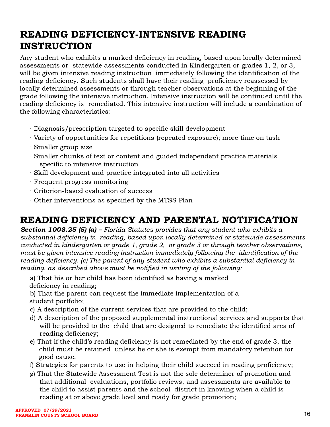# <span id="page-16-0"></span>READING DEFICIENCY-INTENSIVE READING **INSTRUCTION**

Any student who exhibits a marked deficiency in reading, based upon locally determined assessments or statewide assessments conducted in Kindergarten or grades 1, 2, or 3, will be given intensive reading instruction immediately following the identification of the reading deficiency. Such students shall have their reading proficiency reassessed by locally determined assessments or through teacher observations at the beginning of the grade following the intensive instruction. Intensive instruction will be continued until the reading deficiency is remediated. This intensive instruction will include a combination of the following characteristics:

- ∙ Diagnosis/prescription targeted to specific skill development
- ∙ Variety of opportunities for repetitions (repeated exposure); more time on task
- ∙ Smaller group size
- ∙ Smaller chunks of text or content and guided independent practice materials specific to intensive instruction
- ∙ Skill development and practice integrated into all activities
- ∙ Frequent progress monitoring
- ∙ Criterion-based evaluation of success
- ∙ Other interventions as specified by the MTSS Plan

## READING DEFICIENCY AND PARENTAL NOTIFICATION

**Section 1008.25 (5) (a) –** Florida Statutes provides that any student who exhibits a substantial deficiency in reading, based upon locally determined or statewide assessments conducted in kindergarten or grade 1, grade 2, or grade 3 or through teacher observations, must be given intensive reading instruction immediately following the identification of the reading deficiency. (c) The parent of any student who exhibits a substantial deficiency in reading, as described above must be notified in writing of the following:

<span id="page-16-1"></span>a) That his or her child has been identified as having a marked deficiency in reading;

b) That the parent can request the immediate implementation of a student portfolio;

- c) A description of the current services that are provided to the child;
- d) A description of the proposed supplemental instructional services and supports that will be provided to the child that are designed to remediate the identified area of reading deficiency;
- e) That if the child's reading deficiency is not remediated by the end of grade 3, the child must be retained unless he or she is exempt from mandatory retention for good cause.
- f) Strategies for parents to use in helping their child succeed in reading proficiency;
- g) That the Statewide Assessment Test is not the sole determiner of promotion and that additional evaluations, portfolio reviews, and assessments are available to the child to assist parents and the school district in knowing when a child is reading at or above grade level and ready for grade promotion;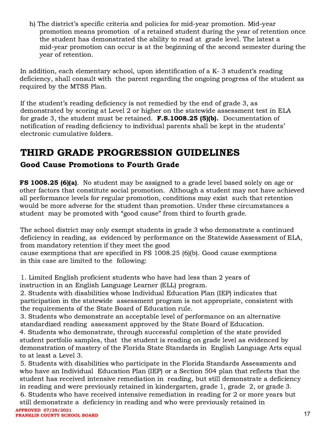h) The district's specific criteria and policies for mid-year promotion. Mid-year promotion means promotion of a retained student during the year of retention once the student has demonstrated the ability to read at grade level. The latest a mid-year promotion can occur is at the beginning of the second semester during the year of retention.

In addition, each elementary school, upon identification of a K- 3 student's reading deficiency, shall consult with the parent regarding the ongoing progress of the student as required by the MTSS Plan.

If the student's reading deficiency is not remedied by the end of grade 3, as demonstrated by scoring at Level 2 or higher on the statewide assessment test in ELA for grade 3, the student must be retained. F.S.1008.25 (5)(b). Documentation of notification of reading deficiency to individual parents shall be kept in the students' electronic cumulative folders.

# <span id="page-17-0"></span>THIRD GRADE PROGRESSION GUIDELINES

### <span id="page-17-1"></span>Good Cause Promotions to Fourth Grade

FS 1008.25 (6)(a). No student may be assigned to a grade level based solely on age or other factors that constitute social promotion. Although a student may not have achieved all performance levels for regular promotion, conditions may exist such that retention would be more adverse for the student than promotion. Under these circumstances a student may be promoted with "good cause" from third to fourth grade.

The school district may only exempt students in grade 3 who demonstrate a continued deficiency in reading, as evidenced by performance on the Statewide Assessment of ELA, from mandatory retention if they meet the good cause exemptions that are specified in FS 1008.25 (6)(b). Good cause exemptions

in this case are limited to the following:

1. Limited English proficient students who have had less than 2 years of instruction in an English Language Learner (ELL) program.

2. Students with disabilities whose Individual Education Plan (IEP) indicates that participation in the statewide assessment program is not appropriate, consistent with the requirements of the State Board of Education rule.

3. Students who demonstrate an acceptable level of performance on an alternative standardized reading assessment approved by the State Board of Education.

4. Students who demonstrate, through successful completion of the state provided student portfolio samples, that the student is reading on grade level as evidenced by demonstration of mastery of the Florida State Standards in English Language Arts equal to at least a Level 3.

5. Students with disabilities who participate in the Florida Standards Assessments and who have an Individual Education Plan (IEP) or a Section 504 plan that reflects that the student has received intensive remediation in reading, but still demonstrate a deficiency in reading and were previously retained in kindergarten, grade 1, grade 2, or grade 3.

6. Students who have received intensive remediation in reading for 2 or more years but still demonstrate a deficiency in reading and who were previously retained in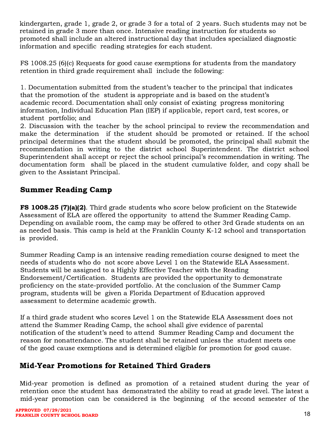kindergarten, grade 1, grade 2, or grade 3 for a total of 2 years. Such students may not be retained in grade 3 more than once. Intensive reading instruction for students so promoted shall include an altered instructional day that includes specialized diagnostic information and specific reading strategies for each student.

FS 1008.25 (6)(c) Requests for good cause exemptions for students from the mandatory retention in third grade requirement shall include the following:

1. Documentation submitted from the student's teacher to the principal that indicates that the promotion of the student is appropriate and is based on the student's academic record. Documentation shall only consist of existing progress monitoring information, Individual Education Plan (IEP) if applicable, report card, test scores, or student portfolio; and

2. Discussion with the teacher by the school principal to review the recommendation and make the determination if the student should be promoted or retained. If the school principal determines that the student should be promoted, the principal shall submit the recommendation in writing to the district school Superintendent. The district school Superintendent shall accept or reject the school principal's recommendation in writing. The documentation form shall be placed in the student cumulative folder, and copy shall be given to the Assistant Principal.

### <span id="page-18-0"></span>Summer Reading Camp

FS 1008.25 (7)(a)(2). Third grade students who score below proficient on the Statewide Assessment of ELA are offered the opportunity to attend the Summer Reading Camp. Depending on available room, the camp may be offered to other 3rd Grade students on an as needed basis. This camp is held at the Franklin County K-12 school and transportation is provided.

Summer Reading Camp is an intensive reading remediation course designed to meet the needs of students who do not score above Level 1 on the Statewide ELA Assessment. Students will be assigned to a Highly Effective Teacher with the Reading Endorsement/Certification. Students are provided the opportunity to demonstrate proficiency on the state-provided portfolio. At the conclusion of the Summer Camp program, students will be given a Florida Department of Education approved assessment to determine academic growth.

If a third grade student who scores Level 1 on the Statewide ELA Assessment does not attend the Summer Reading Camp, the school shall give evidence of parental notification of the student's need to attend Summer Reading Camp and document the reason for nonattendance. The student shall be retained unless the student meets one of the good cause exemptions and is determined eligible for promotion for good cause.

### <span id="page-18-1"></span>Mid-Year Promotions for Retained Third Graders

Mid-year promotion is defined as promotion of a retained student during the year of retention once the student has demonstrated the ability to read at grade level. The latest a mid-year promotion can be considered is the beginning of the second semester of the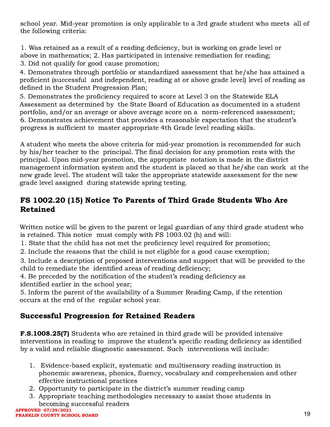school year. Mid-year promotion is only applicable to a 3rd grade student who meets all of the following criteria:

1. Was retained as a result of a reading deficiency, but is working on grade level or above in mathematics; 2. Has participated in intensive remediation for reading;

3. Did not qualify for good cause promotion;

4. Demonstrates through portfolio or standardized assessment that he/she has attained a proficient (successful and independent, reading at or above grade level) level of reading as defined in the Student Progression Plan;

5. Demonstrates the proficiency required to score at Level 3 on the Statewide ELA Assessment as determined by the State Board of Education as documented in a student portfolio, and/or an average or above average score on a norm-referenced assessment; 6. Demonstrates achievement that provides a reasonable expectation that the student's progress is sufficient to master appropriate 4th Grade level reading skills.

A student who meets the above criteria for mid-year promotion is recommended for such by his/her teacher to the principal. The final decision for any promotion rests with the principal. Upon mid-year promotion, the appropriate notation is made in the district management information system and the student is placed so that he/she can work at the new grade level. The student will take the appropriate statewide assessment for the new grade level assigned during statewide spring testing.

### <span id="page-19-0"></span>FS 1002.20 (15) Notice To Parents of Third Grade Students Who Are Retained

Written notice will be given to the parent or legal guardian of any third grade student who is retained. This notice must comply with FS 1003.02 (h) and will:

- 1. State that the child has not met the proficiency level required for promotion;
- 2. Include the reasons that the child is not eligible for a good cause exemption;

3. Include a description of proposed interventions and support that will be provided to the child to remediate the identified areas of reading deficiency;

4. Be preceded by the notification of the student's reading deficiency as identified earlier in the school year;

5. Inform the parent of the availability of a Summer Reading Camp, if the retention occurs at the end of the regular school year.

### <span id="page-19-1"></span>Successful Progression for Retained Readers

F.S.1008.25(7) Students who are retained in third grade will be provided intensive interventions in reading to improve the student's specific reading deficiency as identified by a valid and reliable diagnostic assessment. Such interventions will include:

- 1. Evidence-based explicit, systematic and multisensory reading instruction in phonemic awareness, phonics, fluency, vocabulary and comprehension and other effective instructional practices
- 2. Opportunity to participate in the district's summer reading camp
- 3. Appropriate teaching methodologies necessary to assist those students in becoming successful readers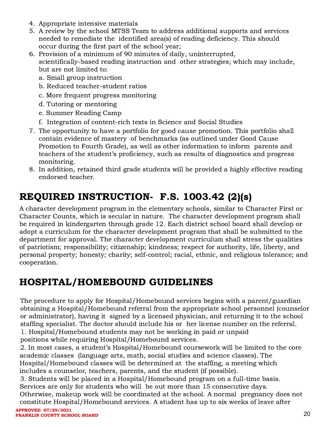- 4. Appropriate intensive materials
- 5. A review by the school MTSS Team to address additional supports and services needed to remediate the identified area(s) of reading deficiency. This should occur during the first part of the school year;
- 6. Provision of a minimum of 90 minutes of daily, uninterrupted, scientifically-based reading instruction and other strategies; which may include, but are not limited to:
	- a. Small group instruction
	- b. Reduced teacher-student ratios
	- c. More frequent progress monitoring
	- d. Tutoring or mentoring
	- e. Summer Reading Camp
	- f. Integration of content-rich texts in Science and Social Studies
- 7. The opportunity to have a portfolio for good cause promotion. This portfolio shall contain evidence of mastery of benchmarks (as outlined under Good Cause Promotion to Fourth Grade), as well as other information to inform parents and teachers of the student's proficiency, such as results of diagnostics and progress monitoring.
- 8. In addition, retained third grade students will be provided a highly effective reading endorsed teacher.

# <span id="page-20-0"></span>REQUIRED INSTRUCTION- F.S. 1003.42 (2)(s)

A character development program in the elementary schools, similar to Character First or Character Counts, which is secular in nature. The character development program shall be required in kindergarten through grade 12. Each district school board shall develop or adopt a curriculum for the character development program that shall be submitted to the department for approval. The character development curriculum shall stress the qualities of patriotism; responsibility; citizenship; kindness; respect for authority, life, liberty, and personal property; honesty; charity; self-control; racial, ethnic, and religious tolerance; and cooperation.

## <span id="page-20-1"></span>HOSPITAL/HOMEBOUND GUIDELINES

The procedure to apply for Hospital/Homebound services begins with a parent/guardian obtaining a Hospital/Homebound referral from the appropriate school personnel (counselor or administrator), having it signed by a licensed physician, and returning it to the school staffing specialist. The doctor should include his or her license number on the referral. 1. Hospital/Homebound students may not be working in paid or unpaid

positions while requiring Hospital/Homebound services.

2. In most cases, a student's Hospital/Homebound coursework will be limited to the core academic classes (language arts, math, social studies and science classes). The Hospital/Homebound classes will be determined at the staffing, a meeting which includes a counselor, teachers, parents, and the student (if possible).

3. Students will be placed in a Hospital/Homebound program on a full-time basis. Services are only for students who will be out more than 15 consecutive days.

Otherwise, makeup work will be coordinated at the school. A normal pregnancy does not constitute Hospital/Homebound services. A student has up to six weeks of leave after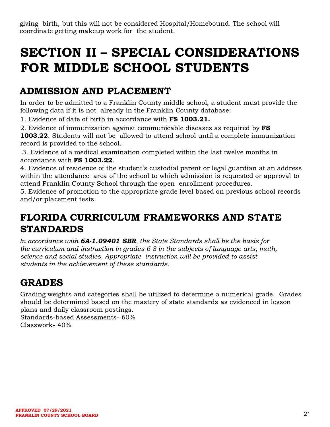giving birth, but this will not be considered Hospital/Homebound. The school will coordinate getting makeup work for the student.

# <span id="page-21-0"></span>SECTION II – SPECIAL CONSIDERATIONS FOR MIDDLE SCHOOL STUDENTS

# <span id="page-21-1"></span>ADMISSION AND PLACEMENT

In order to be admitted to a Franklin County middle school, a student must provide the following data if it is not already in the Franklin County database:

1. Evidence of date of birth in accordance with FS 1003.21.

2. Evidence of immunization against communicable diseases as required by **FS** 

1003.22. Students will not be allowed to attend school until a complete immunization record is provided to the school.

3. Evidence of a medical examination completed within the last twelve months in accordance with FS 1003.22.

4. Evidence of residence of the student's custodial parent or legal guardian at an address within the attendance area of the school to which admission is requested or approval to attend Franklin County School through the open enrollment procedures.

5. Evidence of promotion to the appropriate grade level based on previous school records and/or placement tests.

# <span id="page-21-2"></span>FLORIDA CURRICULUM FRAMEWORKS AND STATE STANDARDS

In accordance with **6A-1.09401 SBR**, the State Standards shall be the basis for the curriculum and instruction in grades 6-8 in the subjects of language arts, math, science and social studies. Appropriate instruction will be provided to assist students in the achievement of these standards.

# <span id="page-21-3"></span>GRADES

Grading weights and categories shall be utilized to determine a numerical grade. Grades should be determined based on the mastery of state standards as evidenced in lesson plans and daily classroom postings.

Standards-based Assessments- 60% Classwork- 40%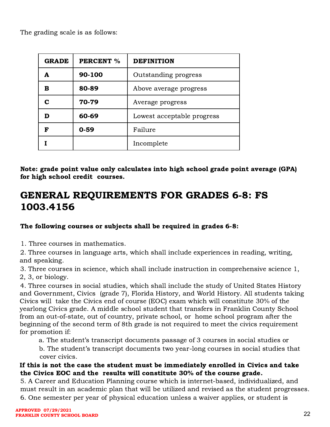The grading scale is as follows:

| <b>GRADE</b> | <b>PERCENT %</b> | <b>DEFINITION</b>          |  |
|--------------|------------------|----------------------------|--|
|              | 90-100           | Outstanding progress       |  |
| в            | 80-89            | Above average progress     |  |
|              | 70-79            | Average progress           |  |
|              | 60-69            | Lowest acceptable progress |  |
| R            | $0 - 59$         | Failure                    |  |
|              |                  | Incomplete                 |  |

Note: grade point value only calculates into high school grade point average (GPA) for high school credit courses.

# <span id="page-22-0"></span>GENERAL REQUIREMENTS FOR GRADES 6-8: FS 1003.4156

### The following courses or subjects shall be required in grades 6-8:

1. Three courses in mathematics.

2. Three courses in language arts, which shall include experiences in reading, writing, and speaking.

3. Three courses in science, which shall include instruction in comprehensive science 1, 2, 3, or biology.

4. Three courses in social studies, which shall include the study of United States History and Government, Civics (grade 7), Florida History, and World History. All students taking Civics will take the Civics end of course (EOC) exam which will constitute 30% of the yearlong Civics grade. A middle school student that transfers in Franklin County School from an out-of-state, out of country, private school, or home school program after the beginning of the second term of 8th grade is not required to meet the civics requirement for promotion if:

a. The student's transcript documents passage of 3 courses in social studies or

b. The student's transcript documents two year-long courses in social studies that cover civics.

#### If this is not the case the student must be immediately enrolled in Civics and take the Civics EOC and the results will constitute 30% of the course grade.

5. A Career and Education Planning course which is internet-based, individualized, and must result in an academic plan that will be utilized and revised as the student progresses. 6. One semester per year of physical education unless a waiver applies, or student is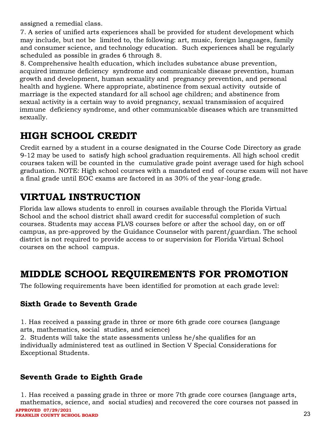assigned a remedial class.

7. A series of unified arts experiences shall be provided for student development which may include, but not be limited to, the following: art, music, foreign languages, family and consumer science, and technology education. Such experiences shall be regularly scheduled as possible in grades 6 through 8.

8. Comprehensive health education, which includes substance abuse prevention, acquired immune deficiency syndrome and communicable disease prevention, human growth and development, human sexuality and pregnancy prevention, and personal health and hygiene. Where appropriate, abstinence from sexual activity outside of marriage is the expected standard for all school age children; and abstinence from sexual activity is a certain way to avoid pregnancy, sexual transmission of acquired immune deficiency syndrome, and other communicable diseases which are transmitted sexually.

## <span id="page-23-0"></span>HIGH SCHOOL CREDIT

Credit earned by a student in a course designated in the Course Code Directory as grade 9-12 may be used to satisfy high school graduation requirements. All high school credit courses taken will be counted in the cumulative grade point average used for high school graduation. NOTE: High school courses with a mandated end of course exam will not have a final grade until EOC exams are factored in as 30% of the year-long grade.

# <span id="page-23-1"></span>VIRTUAL INSTRUCTION

Florida law allows students to enroll in courses available through the Florida Virtual School and the school district shall award credit for successful completion of such courses. Students may access FLVS courses before or after the school day, on or off campus, as pre-approved by the Guidance Counselor with parent/guardian. The school district is not required to provide access to or supervision for Florida Virtual School courses on the school campus.

# <span id="page-23-2"></span>MIDDLE SCHOOL REQUIREMENTS FOR PROMOTION

<span id="page-23-3"></span>The following requirements have been identified for promotion at each grade level:

### Sixth Grade to Seventh Grade

1. Has received a passing grade in three or more 6th grade core courses (language arts, mathematics, social studies, and science)

2. Students will take the state assessments unless he/she qualifies for an individually administered test as outlined in Section V Special Considerations for Exceptional Students.

### <span id="page-23-4"></span>Seventh Grade to Eighth Grade

1. Has received a passing grade in three or more 7th grade core courses (language arts, mathematics, science, and social studies) and recovered the core courses not passed in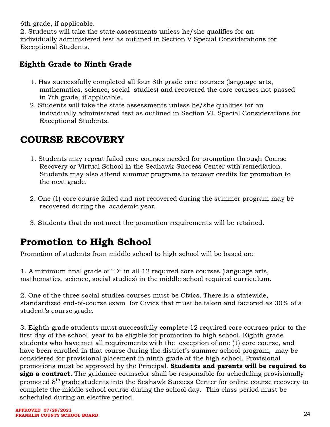6th grade, if applicable.

2. Students will take the state assessments unless he/she qualifies for an individually administered test as outlined in Section V Special Considerations for Exceptional Students.

### <span id="page-24-0"></span>Eighth Grade to Ninth Grade

- 1. Has successfully completed all four 8th grade core courses (language arts, mathematics, science, social studies) and recovered the core courses not passed in 7th grade, if applicable.
- 2. Students will take the state assessments unless he/she qualifies for an individually administered test as outlined in Section VI. Special Considerations for Exceptional Students.

# <span id="page-24-1"></span>COURSE RECOVERY

- 1. Students may repeat failed core courses needed for promotion through Course Recovery or Virtual School in the Seahawk Success Center with remediation. Students may also attend summer programs to recover credits for promotion to the next grade.
- 2. One (1) core course failed and not recovered during the summer program may be recovered during the academic year.
- 3. Students that do not meet the promotion requirements will be retained.

# <span id="page-24-2"></span>Promotion to High School

Promotion of students from middle school to high school will be based on:

1. A minimum final grade of "D" in all 12 required core courses (language arts, mathematics, science, social studies) in the middle school required curriculum.

2. One of the three social studies courses must be Civics. There is a statewide, standardized end-of-course exam for Civics that must be taken and factored as 30% of a student's course grade.

3. Eighth grade students must successfully complete 12 required core courses prior to the first day of the school year to be eligible for promotion to high school. Eighth grade students who have met all requirements with the exception of one (1) core course, and have been enrolled in that course during the district's summer school program, may be considered for provisional placement in ninth grade at the high school. Provisional promotions must be approved by the Principal. Students and parents will be required to sign a contract. The guidance counselor shall be responsible for scheduling provisionally promoted 8<sup>th</sup> grade students into the Seahawk Success Center for online course recovery to complete the middle school course during the school day. This class period must be scheduled during an elective period.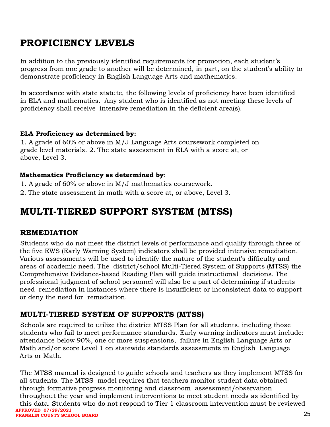# <span id="page-25-0"></span>PROFICIENCY LEVELS

In addition to the previously identified requirements for promotion, each student's progress from one grade to another will be determined, in part, on the student's ability to demonstrate proficiency in English Language Arts and mathematics.

In accordance with state statute, the following levels of proficiency have been identified in ELA and mathematics. Any student who is identified as not meeting these levels of proficiency shall receive intensive remediation in the deficient area(s).

#### ELA Proficiency as determined by:

1. A grade of 60% or above in M/J Language Arts coursework completed on grade level materials. 2. The state assessment in ELA with a score at, or above, Level 3.

#### Mathematics Proficiency as determined by:

- 1. A grade of 60% or above in M/J mathematics coursework.
- <span id="page-25-1"></span>2. The state assessment in math with a score at, or above, Level 3.

### MULTI-TIERED SUPPORT SYSTEM (MTSS)

#### <span id="page-25-2"></span>REMEDIATION

Students who do not meet the district levels of performance and qualify through three of the five EWS (Early Warning System) indicators shall be provided intensive remediation. Various assessments will be used to identify the nature of the student's difficulty and areas of academic need. The district/school Multi-Tiered System of Supports (MTSS) the Comprehensive Evidence-based Reading Plan will guide instructional decisions. The professional judgment of school personnel will also be a part of determining if students need remediation in instances where there is insufficient or inconsistent data to support or deny the need for remediation.

### <span id="page-25-3"></span>MULTI-TIERED SYSTEM OF SUPPORTS (MTSS)

Schools are required to utilize the district MTSS Plan for all students, including those students who fail to meet performance standards. Early warning indicators must include: attendance below 90%, one or more suspensions, failure in English Language Arts or Math and/or score Level 1 on statewide standards assessments in English Language Arts or Math.

The MTSS manual is designed to guide schools and teachers as they implement MTSS for all students. The MTSS model requires that teachers monitor student data obtained through formative progress monitoring and classroom assessment/observation throughout the year and implement interventions to meet student needs as identified by this data. Students who do not respond to Tier 1 classroom intervention must be reviewed **APPROVED 07/29/2021 FRANKLIN COUNTY SCHOOL BOARD**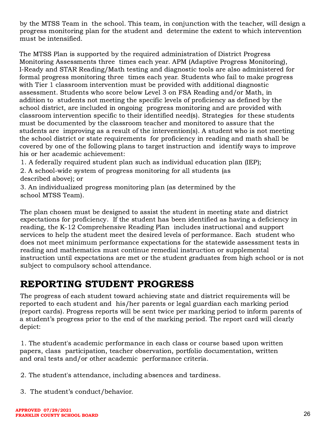by the MTSS Team in the school. This team, in conjunction with the teacher, will design a progress monitoring plan for the student and determine the extent to which intervention must be intensified.

The MTSS Plan is supported by the required administration of District Progress Monitoring Assessments three times each year. APM (Adaptive Progress Monitoring), I-Ready and STAR Reading/Math testing and diagnostic tools are also administered for formal progress monitoring three times each year. Students who fail to make progress with Tier 1 classroom intervention must be provided with additional diagnostic assessment. Students who score below Level 3 on FSA Reading and/or Math, in addition to students not meeting the specific levels of proficiency as defined by the school district, are included in ongoing progress monitoring and are provided with classroom intervention specific to their identified need(s). Strategies for these students must be documented by the classroom teacher and monitored to assure that the students are improving as a result of the intervention(s). A student who is not meeting the school district or state requirements for proficiency in reading and math shall be covered by one of the following plans to target instruction and identify ways to improve his or her academic achievement:

1. A federally required student plan such as individual education plan (IEP);

2. A school-wide system of progress monitoring for all students (as described above); or

3. An individualized progress monitoring plan (as determined by the school MTSS Team).

The plan chosen must be designed to assist the student in meeting state and district expectations for proficiency. If the student has been identified as having a deficiency in reading, the K-12 Comprehensive Reading Plan includes instructional and support services to help the student meet the desired levels of performance. Each student who does not meet minimum performance expectations for the statewide assessment tests in reading and mathematics must continue remedial instruction or supplemental instruction until expectations are met or the student graduates from high school or is not subject to compulsory school attendance.

## <span id="page-26-0"></span>REPORTING STUDENT PROGRESS

The progress of each student toward achieving state and district requirements will be reported to each student and his/her parents or legal guardian each marking period (report cards). Progress reports will be sent twice per marking period to inform parents of a student's progress prior to the end of the marking period. The report card will clearly depict:

1. The student's academic performance in each class or course based upon written papers, class participation, teacher observation, portfolio documentation, written and oral tests and/or other academic performance criteria.

2. The student's attendance, including absences and tardiness.

3. The student's conduct/behavior.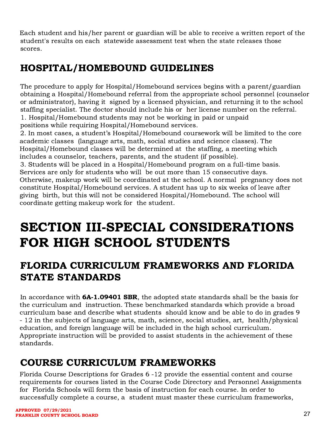Each student and his/her parent or guardian will be able to receive a written report of the student's results on each statewide assessment test when the state releases those scores.

# <span id="page-27-0"></span>HOSPITAL/HOMEBOUND GUIDELINES

The procedure to apply for Hospital/Homebound services begins with a parent/guardian obtaining a Hospital/Homebound referral from the appropriate school personnel (counselor or administrator), having it signed by a licensed physician, and returning it to the school staffing specialist. The doctor should include his or her license number on the referral. 1. Hospital/Homebound students may not be working in paid or unpaid positions while requiring Hospital/Homebound services.

2. In most cases, a student's Hospital/Homebound coursework will be limited to the core academic classes (language arts, math, social studies and science classes). The Hospital/Homebound classes will be determined at the staffing, a meeting which includes a counselor, teachers, parents, and the student (if possible).

3. Students will be placed in a Hospital/Homebound program on a full-time basis. Services are only for students who will be out more than 15 consecutive days. Otherwise, makeup work will be coordinated at the school. A normal pregnancy does not constitute Hospital/Homebound services. A student has up to six weeks of leave after giving birth, but this will not be considered Hospital/Homebound. The school will coordinate getting makeup work for the student.

# <span id="page-27-1"></span>SECTION III-SPECIAL CONSIDERATIONS FOR HIGH SCHOOL STUDENTS

# <span id="page-27-2"></span>FLORIDA CURRICULUM FRAMEWORKS AND FLORIDA STATE STANDARDS

In accordance with **6A-1.09401 SBR**, the adopted state standards shall be the basis for the curriculum and instruction. These benchmarked standards which provide a broad curriculum base and describe what students should know and be able to do in grades 9 - 12 in the subjects of language arts, math, science, social studies, art, health/physical education, and foreign language will be included in the high school curriculum. Appropriate instruction will be provided to assist students in the achievement of these standards.

# <span id="page-27-3"></span>COURSE CURRICULUM FRAMEWORKS

Florida Course Descriptions for Grades 6 -12 provide the essential content and course requirements for courses listed in the Course Code Directory and Personnel Assignments for Florida Schools will form the basis of instruction for each course. In order to successfully complete a course, a student must master these curriculum frameworks,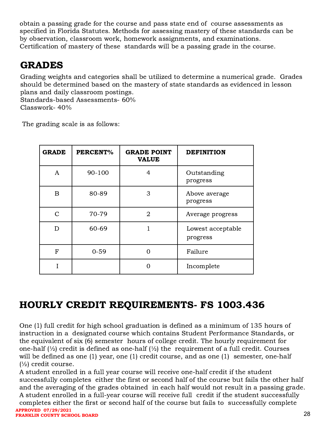obtain a passing grade for the course and pass state end of course assessments as specified in Florida Statutes. Methods for assessing mastery of these standards can be by observation, classroom work, homework assignments, and examinations. Certification of mastery of these standards will be a passing grade in the course.

## <span id="page-28-0"></span>GRADES

Grading weights and categories shall be utilized to determine a numerical grade. Grades should be determined based on the mastery of state standards as evidenced in lesson plans and daily classroom postings.

Standards-based Assessments- 60% Classwork- 40%

The grading scale is as follows:

| <b>GRADE</b>  | PERCENT% | <b>GRADE POINT</b><br><b>VALUE</b> | <b>DEFINITION</b>             |
|---------------|----------|------------------------------------|-------------------------------|
| A             | 90-100   | 4                                  | Outstanding<br>progress       |
| B             | 80-89    | 3                                  | Above average<br>progress     |
| $\mathcal{C}$ | 70-79    | $\overline{2}$                     | Average progress              |
| D             | 60-69    |                                    | Lowest acceptable<br>progress |
| $\mathbf{F}$  | $0 - 59$ | 0                                  | Failure                       |
|               |          |                                    | Incomplete                    |

## <span id="page-28-1"></span>HOURLY CREDIT REQUIREMENTS- FS 1003.436

One (1) full credit for high school graduation is defined as a minimum of 135 hours of instruction in a designated course which contains Student Performance Standards, or the equivalent of six (6) semester hours of college credit. The hourly requirement for one-half  $\frac{1}{2}$  credit is defined as one-half  $\frac{1}{2}$  the requirement of a full credit. Courses will be defined as one (1) year, one (1) credit course, and as one (1) semester, one-half  $(\frac{1}{2})$  credit course.

A student enrolled in a full year course will receive one-half credit if the student successfully completes either the first or second half of the course but fails the other half and the averaging of the grades obtained in each half would not result in a passing grade. A student enrolled in a full-year course will receive full credit if the student successfully completes either the first or second half of the course but fails to successfully complete **APPROVED 07/29/2021** 

**FRANKLIN COUNTY SCHOOL BOARD**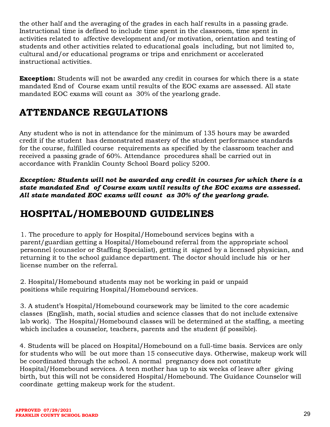the other half and the averaging of the grades in each half results in a passing grade. Instructional time is defined to include time spent in the classroom, time spent in activities related to affective development and/or motivation, orientation and testing of students and other activities related to educational goals including, but not limited to, cultural and/or educational programs or trips and enrichment or accelerated instructional activities.

**Exception:** Students will not be awarded any credit in courses for which there is a state mandated End of Course exam until results of the EOC exams are assessed. All state mandated EOC exams will count as 30% of the yearlong grade.

# <span id="page-29-0"></span>ATTENDANCE REGULATIONS

Any student who is not in attendance for the minimum of 135 hours may be awarded credit if the student has demonstrated mastery of the student performance standards for the course, fulfilled course requirements as specified by the classroom teacher and received a passing grade of 60%. Attendance procedures shall be carried out in accordance with Franklin County School Board policy 5200.

Exception: Students will not be awarded any credit in courses for which there is a state mandated End of Course exam until results of the EOC exams are assessed. All state mandated EOC exams will count as 30% of the yearlong grade.

# <span id="page-29-1"></span>HOSPITAL/HOMEBOUND GUIDELINES

1. The procedure to apply for Hospital/Homebound services begins with a parent/guardian getting a Hospital/Homebound referral from the appropriate school personnel (counselor or Staffing Specialist), getting it signed by a licensed physician, and returning it to the school guidance department. The doctor should include his or her license number on the referral.

2. Hospital/Homebound students may not be working in paid or unpaid positions while requiring Hospital/Homebound services.

3. A student's Hospital/Homebound coursework may be limited to the core academic classes (English, math, social studies and science classes that do not include extensive lab work). The Hospital/Homebound classes will be determined at the staffing, a meeting which includes a counselor, teachers, parents and the student (if possible).

4. Students will be placed on Hospital/Homebound on a full-time basis. Services are only for students who will be out more than 15 consecutive days. Otherwise, makeup work will be coordinated through the school. A normal pregnancy does not constitute Hospital/Homebound services. A teen mother has up to six weeks of leave after giving birth, but this will not be considered Hospital/Homebound. The Guidance Counselor will coordinate getting makeup work for the student.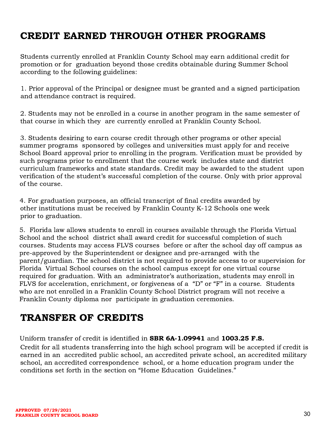# <span id="page-30-0"></span>CREDIT EARNED THROUGH OTHER PROGRAMS

Students currently enrolled at Franklin County School may earn additional credit for promotion or for graduation beyond those credits obtainable during Summer School according to the following guidelines:

1. Prior approval of the Principal or designee must be granted and a signed participation and attendance contract is required.

2. Students may not be enrolled in a course in another program in the same semester of that course in which they are currently enrolled at Franklin County School.

3. Students desiring to earn course credit through other programs or other special summer programs sponsored by colleges and universities must apply for and receive School Board approval prior to enrolling in the program. Verification must be provided by such programs prior to enrollment that the course work includes state and district curriculum frameworks and state standards. Credit may be awarded to the student upon verification of the student's successful completion of the course. Only with prior approval of the course.

4. For graduation purposes, an official transcript of final credits awarded by other institutions must be received by Franklin County K-12 Schools one week prior to graduation.

5. Florida law allows students to enroll in courses available through the Florida Virtual School and the school district shall award credit for successful completion of such courses. Students may access FLVS courses before or after the school day off campus as pre-approved by the Superintendent or designee and pre-arranged with the parent/guardian. The school district is not required to provide access to or supervision for Florida Virtual School courses on the school campus except for one virtual course required for graduation. With an administrator's authorization, students may enroll in FLVS for acceleration, enrichment, or forgiveness of a "D" or "F" in a course. Students who are not enrolled in a Franklin County School District program will not receive a Franklin County diploma nor participate in graduation ceremonies.

## <span id="page-30-1"></span>TRANSFER OF CREDITS

Uniform transfer of credit is identified in SBR 6A-1.09941 and 1003.25 F.S.

Credit for all students transferring into the high school program will be accepted if credit is earned in an accredited public school, an accredited private school, an accredited military school, an accredited correspondence school, or a home education program under the conditions set forth in the section on "Home Education Guidelines."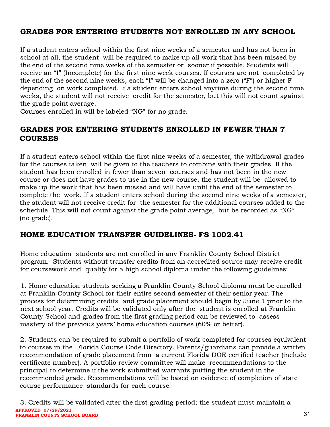### <span id="page-31-0"></span>GRADES FOR ENTERING STUDENTS NOT ENROLLED IN ANY SCHOOL

If a student enters school within the first nine weeks of a semester and has not been in school at all, the student will be required to make up all work that has been missed by the end of the second nine weeks of the semester or sooner if possible. Students will receive an "I" (Incomplete) for the first nine week courses. If courses are not completed by the end of the second nine weeks, each "I" will be changed into a zero ("F") or higher F depending on work completed. If a student enters school anytime during the second nine weeks, the student will not receive credit for the semester, but this will not count against the grade point average.

Courses enrolled in will be labeled "NG" for no grade.

### <span id="page-31-1"></span>GRADES FOR ENTERING STUDENTS ENROLLED IN FEWER THAN 7 COURSES

If a student enters school within the first nine weeks of a semester, the withdrawal grades for the courses taken will be given to the teachers to combine with their grades. If the student has been enrolled in fewer than seven courses and has not been in the new course or does not have grades to use in the new course, the student will be allowed to make up the work that has been missed and will have until the end of the semester to complete the work. If a student enters school during the second nine weeks of a semester, the student will not receive credit for the semester for the additional courses added to the schedule. This will not count against the grade point average, but be recorded as "NG" (no grade).

### <span id="page-31-2"></span>HOME EDUCATION TRANSFER GUIDELINES- FS 1002.41

Home education students are not enrolled in any Franklin County School District program. Students without transfer credits from an accredited source may receive credit for coursework and qualify for a high school diploma under the following guidelines:

1. Home education students seeking a Franklin County School diploma must be enrolled at Franklin County School for their entire second semester of their senior year. The process for determining credits and grade placement should begin by June 1 prior to the next school year. Credits will be validated only after the student is enrolled at Franklin County School and grades from the first grading period can be reviewed to assess mastery of the previous years' home education courses (60% or better).

2. Students can be required to submit a portfolio of work completed for courses equivalent to courses in the Florida Course Code Directory. Parents/guardians can provide a written recommendation of grade placement from a current Florida DOE certified teacher (include certificate number). A portfolio review committee will make recommendations to the principal to determine if the work submitted warrants putting the student in the recommended grade. Recommendations will be based on evidence of completion of state course performance standards for each course.

3. Credits will be validated after the first grading period; the student must maintain a **APPROVED 07/29/2021 FRANKLIN COUNTY SCHOOL BOARD**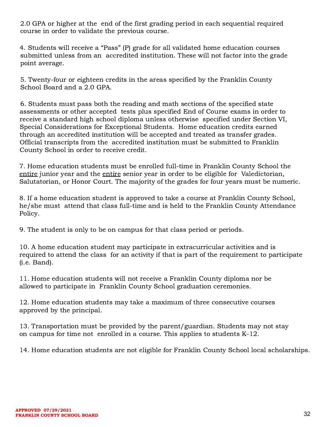2.0 GPA or higher at the end of the first grading period in each sequential required course in order to validate the previous course.

4. Students will receive a "Pass" (P) grade for all validated home education courses submitted unless from an accredited institution. These will not factor into the grade point average.

5. Twenty-four or eighteen credits in the areas specified by the Franklin County School Board and a 2.0 GPA.

6. Students must pass both the reading and math sections of the specified state assessments or other accepted tests plus specified End of Course exams in order to receive a standard high school diploma unless otherwise specified under Section VI, Special Considerations for Exceptional Students. Home education credits earned through an accredited institution will be accepted and treated as transfer grades. Official transcripts from the accredited institution must be submitted to Franklin County School in order to receive credit.

7. Home education students must be enrolled full-time in Franklin County School the entire junior year and the entire senior year in order to be eligible for Valedictorian, Salutatorian, or Honor Court. The majority of the grades for four years must be numeric.

8. If a home education student is approved to take a course at Franklin County School, he/she must attend that class full-time and is held to the Franklin County Attendance Policy.

9. The student is only to be on campus for that class period or periods.

10. A home education student may participate in extracurricular activities and is required to attend the class for an activity if that is part of the requirement to participate (i.e. Band).

11. Home education students will not receive a Franklin County diploma nor be allowed to participate in Franklin County School graduation ceremonies.

12. Home education students may take a maximum of three consecutive courses approved by the principal.

13. Transportation must be provided by the parent/guardian. Students may not stay on campus for time not enrolled in a course. This applies to students K-12.

14. Home education students are not eligible for Franklin County School local scholarships.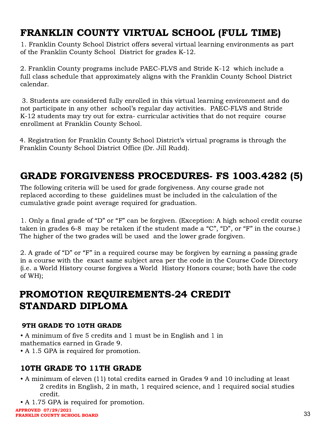# <span id="page-33-0"></span>FRANKLIN COUNTY VIRTUAL SCHOOL (FULL TIME)

1. Franklin County School District offers several virtual learning environments as part of the Franklin County School District for grades K-12.

2. Franklin County programs include PAEC-FLVS and Stride K-12 which include a full class schedule that approximately aligns with the Franklin County School District calendar.

3. Students are considered fully enrolled in this virtual learning environment and do not participate in any other school's regular day activities. PAEC-FLVS and Stride K-12 students may try out for extra- curricular activities that do not require course enrollment at Franklin County School.

<span id="page-33-1"></span>4. Registration for Franklin County School District's virtual programs is through the Franklin County School District Office (Dr. Jill Rudd).

# GRADE FORGIVENESS PROCEDURES- FS 1003.4282 (5)

The following criteria will be used for grade forgiveness. Any course grade not replaced according to these guidelines must be included in the calculation of the cumulative grade point average required for graduation.

1. Only a final grade of "D" or "F" can be forgiven. (Exception: A high school credit course taken in grades 6-8 may be retaken if the student made a "C", "D", or "F" in the course.) The higher of the two grades will be used and the lower grade forgiven.

2. A grade of "D" or "F" in a required course may be forgiven by earning a passing grade in a course with the exact same subject area per the code in the Course Code Directory (i.e. a World History course forgives a World History Honors course; both have the code of WH);

## <span id="page-33-2"></span>PROMOTION REQUIREMENTS-24 CREDIT STANDARD DIPLOMA

#### <span id="page-33-3"></span>9TH GRADE TO 10TH GRADE

• A minimum of five 5 credits and 1 must be in English and 1 in mathematics earned in Grade 9.

<span id="page-33-4"></span>• A 1.5 GPA is required for promotion.

### 10TH GRADE TO 11TH GRADE

- A minimum of eleven (11) total credits earned in Grades 9 and 10 including at least 2 credits in English, 2 in math, 1 required science, and 1 required social studies credit.
- A 1.75 GPA is required for promotion.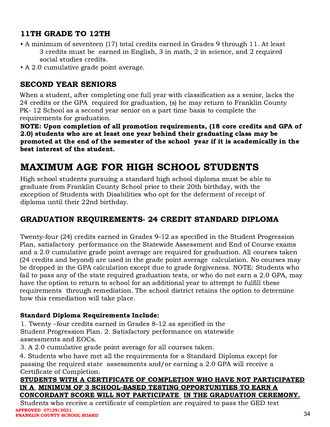### <span id="page-34-0"></span>11TH GRADE TO 12TH

- A minimum of seventeen (17) total credits earned in Grades 9 through 11. At least 3 credits must be earned in English, 3 in math, 2 in science, and 2 required social studies credits.
- A 2.0 cumulative grade point average.

### <span id="page-34-1"></span>SECOND YEAR SENIORS

When a student, after completing one full year with classification as a senior, lacks the 24 credits or the GPA required for graduation, (s) he may return to Franklin County PK- 12 School as a second year senior on a part time basis to complete the requirements for graduation.

NOTE: Upon completion of all promotion requirements, (18 core credits and GPA of 2.0) students who are at least one year behind their graduating class may be promoted at the end of the semester of the school year if it is academically in the best interest of the student.

## <span id="page-34-2"></span>MAXIMUM AGE FOR HIGH SCHOOL STUDENTS

High school students pursuing a standard high school diploma must be able to graduate from Franklin County School prior to their 20th birthday, with the exception of Students with Disabilities who opt for the deferment of receipt of diploma until their 22nd birthday.

### <span id="page-34-3"></span>GRADUATION REQUIREMENTS- 24 CREDIT STANDARD DIPLOMA

Twenty-four (24) credits earned in Grades 9-12 as specified in the Student Progression Plan, satisfactory performance on the Statewide Assessment and End of Course exams and a 2.0 cumulative grade point average are required for graduation. All courses taken (24 credits and beyond) are used in the grade point average calculation. No courses may be dropped in the GPA calculation except due to grade forgiveness. NOTE: Students who fail to pass any of the state required graduation tests, or who do not earn a 2.0 GPA, may have the option to return to school for an additional year to attempt to fulfill these requirements through remediation. The school district retains the option to determine how this remediation will take place.

#### Standard Diploma Requirements Include:

1. Twenty –four credits earned in Grades 8-12 as specified in the Student Progression Plan. 2. Satisfactory performance on statewide assessments and EOCs.

3. A 2.0 cumulative grade point average for all courses taken.

4. Students who have met all the requirements for a Standard Diploma except for passing the required state assessments and/or earning a 2.0 GPA will receive a Certificate of Completion.

#### STUDENTS WITH A CERTIFICATE OF COMPLETION WHO HAVE NOT PARTICIPATED IN A MINIMUM OF 3 SCHOOL-BASED TESTING OPPORTUNITIES TO EARN A CONCORDANT SCORE WILL NOT PARTICIPATE IN THE GRADUATION CEREMONY.

Students who receive a certificate of completion are required to pass the GED test **APPROVED 07/29/2021 FRANKLIN COUNTY SCHOOL BOARD**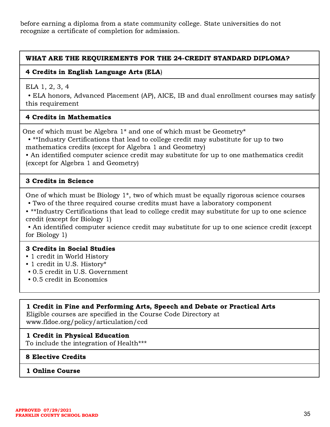before earning a diploma from a state community college. State universities do not recognize a certificate of completion for admission.

#### WHAT ARE THE REQUIREMENTS FOR THE 24-CREDIT STANDARD DIPLOMA?

#### 4 Credits in English Language Arts (ELA)

ELA 1, 2, 3, 4

• ELA honors, Advanced Placement (AP), AICE, IB and dual enrollment courses may satisfy this requirement

#### 4 Credits in Mathematics

One of which must be Algebra 1\* and one of which must be Geometry\*

• \*\*Industry Certifications that lead to college credit may substitute for up to two mathematics credits (except for Algebra 1 and Geometry)

• An identified computer science credit may substitute for up to one mathematics credit (except for Algebra 1 and Geometry)

#### 3 Credits in Science

One of which must be Biology 1\*, two of which must be equally rigorous science courses • Two of the three required course credits must have a laboratory component

• \*\*Industry Certifications that lead to college credit may substitute for up to one science credit (except for Biology 1)

• An identified computer science credit may substitute for up to one science credit (except for Biology 1)

#### 3 Credits in Social Studies

- 1 credit in World History
- 1 credit in U.S. History\*
- 0.5 credit in U.S. Government
- 0.5 credit in Economics

#### 1 Credit in Fine and Performing Arts, Speech and Debate or Practical Arts

Eligible courses are specified in the Course Code Directory at www.fldoe.org/policy/articulation/ccd

#### 1 Credit in Physical Education

To include the integration of Health\*\*\*

#### 8 Elective Credits

#### 1 Online Course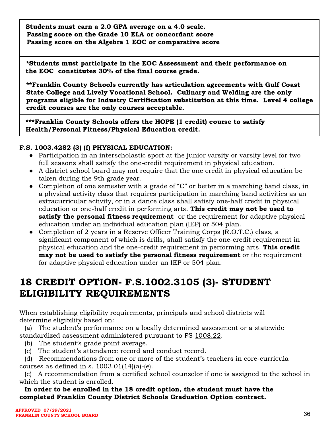Students must earn a 2.0 GPA average on a 4.0 scale. Passing score on the Grade 10 ELA or concordant score Passing score on the Algebra 1 EOC or comparative score

\*Students must participate in the EOC Assessment and their performance on the EOC constitutes 30% of the final course grade.

\*\*Franklin County Schools currently has articulation agreements with Gulf Coast State College and Lively Vocational School. Culinary and Welding are the only programs eligible for Industry Certification substitution at this time. Level 4 college credit courses are the only courses acceptable.

\*\*\*Franklin County Schools offers the HOPE (1 credit) course to satisfy Health/Personal Fitness/Physical Education credit.

#### F.S. 1003.4282 (3) (f) PHYSICAL EDUCATION:

- Participation in an interscholastic sport at the junior varsity or varsity level for two full seasons shall satisfy the one-credit requirement in physical education.
- A district school board may not require that the one credit in physical education be taken during the 9th grade year.
- Completion of one semester with a grade of "C" or better in a marching band class, in a physical activity class that requires participation in marching band activities as an extracurricular activity, or in a dance class shall satisfy one-half credit in physical education or one-half credit in performing arts. This credit may not be used to satisfy the personal fitness requirement or the requirement for adaptive physical education under an individual education plan (IEP) or 504 plan.
- Completion of 2 years in a Reserve Officer Training Corps (R.O.T.C.) class, a significant component of which is drills, shall satisfy the one-credit requirement in physical education and the one-credit requirement in performing arts. This credit may not be used to satisfy the personal fitness requirement or the requirement for adaptive physical education under an IEP or 504 plan.

## <span id="page-36-0"></span>18 CREDIT OPTION- F.S.1002.3105 (3)- STUDENT ELIGIBILITY REQUIREMENTS

When establishing eligibility requirements, principals and school districts will determine eligibility based on:

(a) The student's performance on a locally determined assessment or a statewide standardized assessment administered pursuant to FS [1008.22](http://www.leg.state.fl.us/statutes/index.cfm?App_mode=Display_Statute&Search_String=accel&URL=1000-1099/1008/Sections/1008.22.html).

- (b) The student's grade point average.
- (c) The student's attendance record and conduct record.

(d) Recommendations from one or more of the student's teachers in core-curricula courses as defined in s.  $1003.01(14)(a)$ -(e).

(e) A recommendation from a certified school counselor if one is assigned to the school in which the student is enrolled.

In order to be enrolled in the 18 credit option, the student must have the completed Franklin County District Schools Graduation Option contract.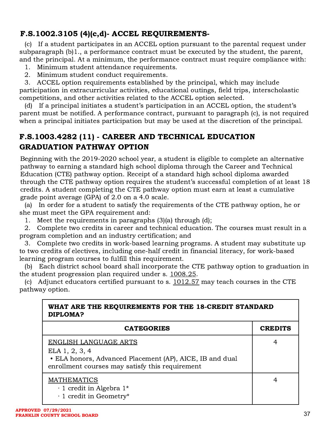### <span id="page-37-0"></span>F.S.1002.3105 (4)(c,d)- ACCEL REQUIREMENTS-

(c) If a student participates in an ACCEL option pursuant to the parental request under subparagraph (b)1., a performance contract must be executed by the student, the parent, and the principal. At a minimum, the performance contract must require compliance with:

- 1. Minimum student attendance requirements.
- 2. Minimum student conduct requirements.

3. ACCEL option requirements established by the principal, which may include participation in extracurricular activities, educational outings, field trips, interscholastic competitions, and other activities related to the ACCEL option selected.

(d) If a principal initiates a student's participation in an ACCEL option, the student's parent must be notified. A performance contract, pursuant to paragraph (c), is not required when a principal initiates participation but may be used at the discretion of the principal.

### <span id="page-37-1"></span>F.S.1003.4282 (11) - CAREER AND TECHNICAL EDUCATION GRADUATION PATHWAY OPTION

Beginning with the 2019-2020 school year, a student is eligible to complete an alternative pathway to earning a standard high school diploma through the Career and Technical Education (CTE) pathway option. Receipt of a standard high school diploma awarded through the CTE pathway option requires the student's successful completion of at least 18 credits. A student completing the CTE pathway option must earn at least a cumulative grade point average (GPA) of 2.0 on a 4.0 scale.

(a) In order for a student to satisfy the requirements of the CTE pathway option, he or she must meet the GPA requirement and:

1. Meet the requirements in paragraphs (3)(a) through (d);

2. Complete two credits in career and technical education. The courses must result in a program completion and an industry certification; and

3. Complete two credits in work-based learning programs. A student may substitute up to two credits of electives, including one-half credit in financial literacy, for work-based learning program courses to fulfill this requirement.

(b) Each district school board shall incorporate the CTE pathway option to graduation in the student progression plan required under s. [1008.25.](http://www.leg.state.fl.us/statutes/index.cfm?App_mode=Display_Statute&Search_String=cte%20graduation&URL=1000-1099/1008/Sections/1008.25.html)

(c) Adjunct educators certified pursuant to s. [1012.57](http://www.leg.state.fl.us/statutes/index.cfm?App_mode=Display_Statute&Search_String=cte%20graduation&URL=1000-1099/1012/Sections/1012.57.html) may teach courses in the CTE pathway option.

| WHAT ARE THE REQUIREMENTS FOR THE 18-CREDIT STANDARD<br>DIPLOMA?                                                                                              |                |  |
|---------------------------------------------------------------------------------------------------------------------------------------------------------------|----------------|--|
| <b>CATEGORIES</b>                                                                                                                                             | <b>CREDITS</b> |  |
| <b>ENGLISH LANGUAGE ARTS</b><br>ELA 1, 2, 3, 4<br>• ELA honors, Advanced Placement (AP), AICE, IB and dual<br>enrollment courses may satisfy this requirement | 4              |  |
| <b>MATHEMATICS</b><br>$\cdot$ 1 credit in Algebra 1*<br>· 1 credit in Geometry*                                                                               |                |  |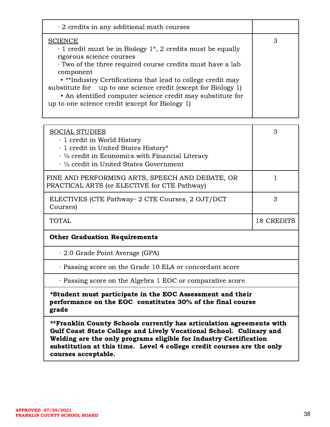| $\cdot$ 2 credits in any additional math courses                                                                                                                                                                                                                                                                                                                                                                                                        |   |
|---------------------------------------------------------------------------------------------------------------------------------------------------------------------------------------------------------------------------------------------------------------------------------------------------------------------------------------------------------------------------------------------------------------------------------------------------------|---|
| <b>SCIENCE</b><br>$\cdot$ 1 credit must be in Biology 1 <sup>*</sup> , 2 credits must be equally<br>rigorous science courses<br>Two of the three required course credits must have a lab<br>component<br>• **Industry Certifications that lead to college credit may<br>substitute for up to one science credit (except for Biology 1)<br>• An identified computer science credit may substitute for<br>up to one science credit (except for Biology 1) | З |

| <b>SOCIAL STUDIES</b><br>· 1 credit in World History<br>· 1 credit in United States History*<br>$\cdot$ 1/2 credit in Economics with Financial Literacy<br>$\cdot$ ½ credit in United States Government | 3                 |  |
|---------------------------------------------------------------------------------------------------------------------------------------------------------------------------------------------------------|-------------------|--|
| FINE AND PERFORMING ARTS, SPEECH AND DEBATE, OR<br>PRACTICAL ARTS (or ELECTIVE for CTE Pathway)                                                                                                         | 1                 |  |
| ELECTIVES (CTE Pathway- 2 CTE Courses, 2 OJT/DCT<br>Courses)                                                                                                                                            | 3                 |  |
| <b>TOTAL</b>                                                                                                                                                                                            | <b>18 CREDITS</b> |  |
| <b>Other Graduation Requirements</b>                                                                                                                                                                    |                   |  |
| $\cdot$ 2.0 Grade Point Average (GPA)                                                                                                                                                                   |                   |  |
| · Passing score on the Grade 10 ELA or concordant score                                                                                                                                                 |                   |  |
| · Passing score on the Algebra 1 EOC or comparative score                                                                                                                                               |                   |  |
| *Student must participate in the EOC Assessment and their<br>performance on the EOC constitutes 30% of the final course<br>grade                                                                        |                   |  |
| **Franklin County Schools currently has articulation agreements with<br>Gulf Coast State College and Lively Vocational School. Culinary and                                                             |                   |  |

Welding are the only programs eligible for Industry Certification substitution at this time. Level 4 college credit courses are the only courses acceptable.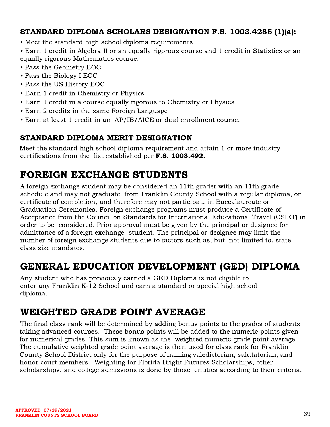### <span id="page-39-0"></span>STANDARD DIPLOMA SCHOLARS DESIGNATION F.S. 1003.4285 (1)(a):

• Meet the standard high school diploma requirements

• Earn 1 credit in Algebra II or an equally rigorous course and 1 credit in Statistics or an equally rigorous Mathematics course.

- Pass the Geometry EOC
- Pass the Biology I EOC
- Pass the US History EOC
- Earn 1 credit in Chemistry or Physics
- Earn 1 credit in a course equally rigorous to Chemistry or Physics
- Earn 2 credits in the same Foreign Language
- <span id="page-39-1"></span>• Earn at least 1 credit in an AP/IB/AICE or dual enrollment course.

### STANDARD DIPLOMA MERIT DESIGNATION

Meet the standard high school diploma requirement and attain 1 or more industry certifications from the list established per F.S. 1003.492.

## <span id="page-39-2"></span>FOREIGN EXCHANGE STUDENTS

A foreign exchange student may be considered an 11th grader with an 11th grade schedule and may not graduate from Franklin County School with a regular diploma, or certificate of completion, and therefore may not participate in Baccalaureate or Graduation Ceremonies. Foreign exchange programs must produce a Certificate of Acceptance from the Council on Standards for International Educational Travel (CSIET) in order to be considered. Prior approval must be given by the principal or designee for admittance of a foreign exchange student. The principal or designee may limit the number of foreign exchange students due to factors such as, but not limited to, state class size mandates.

## <span id="page-39-3"></span>GENERAL EDUCATION DEVELOPMENT (GED) DIPLOMA

Any student who has previously earned a GED Diploma is not eligible to enter any Franklin K-12 School and earn a standard or special high school diploma.

### <span id="page-39-4"></span>WEIGHTED GRADE POINT AVERAGE

The final class rank will be determined by adding bonus points to the grades of students taking advanced courses. These bonus points will be added to the numeric points given for numerical grades. This sum is known as the weighted numeric grade point average. The cumulative weighted grade point average is then used for class rank for Franklin County School District only for the purpose of naming valedictorian, salutatorian, and honor court members. Weighting for Florida Bright Futures Scholarships, other scholarships, and college admissions is done by those entities according to their criteria.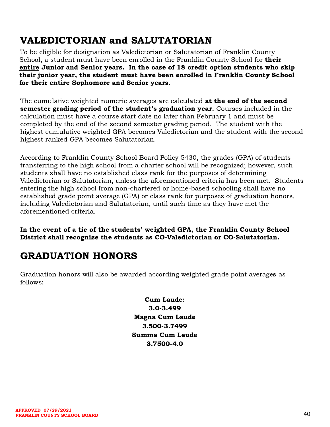## <span id="page-40-0"></span>VALEDICTORIAN and SALUTATORIAN

To be eligible for designation as Valedictorian or Salutatorian of Franklin County School, a student must have been enrolled in the Franklin County School for their entire Junior and Senior years. In the case of 18 credit option students who skip their junior year, the student must have been enrolled in Franklin County School for their entire Sophomore and Senior years.

The cumulative weighted numeric averages are calculated at the end of the second semester grading period of the student's graduation year. Courses included in the calculation must have a course start date no later than February 1 and must be completed by the end of the second semester grading period. The student with the highest cumulative weighted GPA becomes Valedictorian and the student with the second highest ranked GPA becomes Salutatorian.

According to Franklin County School Board Policy 5430, the grades (GPA) of students transferring to the high school from a charter school will be recognized; however, such students shall have no established class rank for the purposes of determining Valedictorian or Salutatorian, unless the aforementioned criteria has been met. Students entering the high school from non-chartered or home-based schooling shall have no established grade point average (GPA) or class rank for purposes of graduation honors, including Valedictorian and Salutatorian, until such time as they have met the aforementioned criteria.

In the event of a tie of the students' weighted GPA, the Franklin County School District shall recognize the students as CO-Valedictorian or CO-Salutatorian.

# <span id="page-40-1"></span>GRADUATION HONORS

Graduation honors will also be awarded according weighted grade point averages as follows:

> Cum Laude: 3.0-3.499 Magna Cum Laude 3.500-3.7499 Summa Cum Laude 3.7500-4.0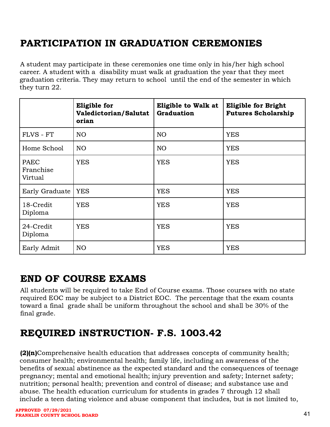# <span id="page-41-0"></span>PARTICIPATION IN GRADUATION CEREMONIES

A student may participate in these ceremonies one time only in his/her high school career. A student with a disability must walk at graduation the year that they meet graduation criteria. They may return to school until the end of the semester in which they turn 22.

|                              | <b>Eligible for</b><br>Valedictorian/Salutat<br>orian | <b>Eligible to Walk at</b><br><b>Graduation</b> | <b>Eligible for Bright</b><br><b>Futures Scholarship</b> |
|------------------------------|-------------------------------------------------------|-------------------------------------------------|----------------------------------------------------------|
| FLVS - FT                    | N <sub>O</sub>                                        | NO                                              | <b>YES</b>                                               |
| Home School                  | NO <sub>1</sub>                                       | NO <sub>1</sub>                                 | <b>YES</b>                                               |
| PAEC<br>Franchise<br>Virtual | <b>YES</b>                                            | <b>YES</b>                                      | <b>YES</b>                                               |
| Early Graduate               | <b>YES</b>                                            | <b>YES</b>                                      | <b>YES</b>                                               |
| 18-Credit<br>Diploma         | <b>YES</b>                                            | <b>YES</b>                                      | <b>YES</b>                                               |
| 24-Credit<br>Diploma         | <b>YES</b>                                            | <b>YES</b>                                      | <b>YES</b>                                               |
| Early Admit                  | N <sub>O</sub>                                        | <b>YES</b>                                      | <b>YES</b>                                               |

### <span id="page-41-1"></span>END OF COURSE EXAMS

All students will be required to take End of Course exams. Those courses with no state required EOC may be subject to a District EOC. The percentage that the exam counts toward a final grade shall be uniform throughout the school and shall be 30% of the final grade.

# <span id="page-41-2"></span>REQUIRED iNSTRUCTION- F.S. 1003.42

(2)(n)Comprehensive health education that addresses concepts of community health; consumer health; environmental health; family life, including an awareness of the benefits of sexual abstinence as the expected standard and the consequences of teenage pregnancy; mental and emotional health; injury prevention and safety; Internet safety; nutrition; personal health; prevention and control of disease; and substance use and abuse. The health education curriculum for students in grades 7 through 12 shall include a teen dating violence and abuse component that includes, but is not limited to,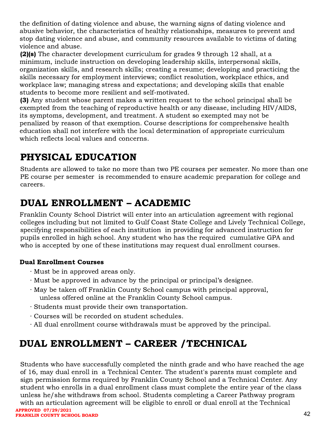the definition of dating violence and abuse, the warning signs of dating violence and abusive behavior, the characteristics of healthy relationships, measures to prevent and stop dating violence and abuse, and community resources available to victims of dating violence and abuse.

(2)(s) The character development curriculum for grades 9 through 12 shall, at a minimum, include instruction on developing leadership skills, interpersonal skills, organization skills, and research skills; creating a resume; developing and practicing the skills necessary for employment interviews; conflict resolution, workplace ethics, and workplace law; managing stress and expectations; and developing skills that enable students to become more resilient and self-motivated.

(3) Any student whose parent makes a written request to the school principal shall be exempted from the teaching of reproductive health or any disease, including HIV/AIDS, its symptoms, development, and treatment. A student so exempted may not be penalized by reason of that exemption. Course descriptions for comprehensive health education shall not interfere with the local determination of appropriate curriculum which reflects local values and concerns.

# <span id="page-42-0"></span>PHYSICAL EDUCATION

Students are allowed to take no more than two PE courses per semester. No more than one PE course per semester is recommended to ensure academic preparation for college and careers.

# <span id="page-42-1"></span>DUAL ENROLLMENT – ACADEMIC

Franklin County School District will enter into an articulation agreement with regional colleges including but not limited to Gulf Coast State College and Lively Technical College, specifying responsibilities of each institution in providing for advanced instruction for pupils enrolled in high school. Any student who has the required cumulative GPA and who is accepted by one of these institutions may request dual enrollment courses.

### Dual Enrollment Courses

- ∙ Must be in approved areas only.
- ∙ Must be approved in advance by the principal or principal's designee.
- ∙ May be taken off Franklin County School campus with principal approval, unless offered online at the Franklin County School campus.
- ∙ Students must provide their own transportation.
- ∙ Courses will be recorded on student schedules.
- ∙ All dual enrollment course withdrawals must be approved by the principal.

# <span id="page-42-2"></span>DUAL ENROLLMENT – CAREER /TECHNICAL

Students who have successfully completed the ninth grade and who have reached the age of 16, may dual enroll in a Technical Center. The student's parents must complete and sign permission forms required by Franklin County School and a Technical Center. Any student who enrolls in a dual enrollment class must complete the entire year of the class unless he/she withdraws from school. Students completing a Career Pathway program with an articulation agreement will be eligible to enroll or dual enroll at the Technical **APPROVED 07/29/2021**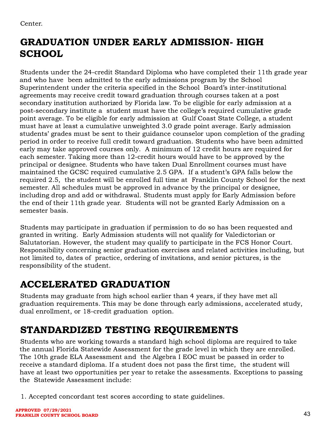Center.

# <span id="page-43-0"></span>GRADUATION UNDER EARLY ADMISSION- HIGH **SCHOOL**

Students under the 24-credit Standard Diploma who have completed their 11th grade year and who have been admitted to the early admissions program by the School Superintendent under the criteria specified in the School Board's inter-institutional agreements may receive credit toward graduation through courses taken at a post secondary institution authorized by Florida law. To be eligible for early admission at a post-secondary institute a student must have the college's required cumulative grade point average. To be eligible for early admission at Gulf Coast State College, a student must have at least a cumulative unweighted 3.0 grade point average. Early admission students' grades must be sent to their guidance counselor upon completion of the grading period in order to receive full credit toward graduation. Students who have been admitted early may take approved courses only. A minimum of 12 credit hours are required for each semester. Taking more than 12-credit hours would have to be approved by the principal or designee. Students who have taken Dual Enrollment courses must have maintained the GCSC required cumulative 2.5 GPA. If a student's GPA falls below the required 2.5, the student will be enrolled full time at Franklin County School for the next semester. All schedules must be approved in advance by the principal or designee, including drop and add or withdrawal. Students must apply for Early Admission before the end of their 11th grade year. Students will not be granted Early Admission on a semester basis.

Students may participate in graduation if permission to do so has been requested and granted in writing. Early Admission students will not qualify for Valedictorian or Salutatorian. However, the student may qualify to participate in the FCS Honor Court. Responsibility concerning senior graduation exercises and related activities including, but not limited to, dates of practice, ordering of invitations, and senior pictures, is the responsibility of the student.

# <span id="page-43-1"></span>ACCELERATED GRADUATION

Students may graduate from high school earlier than 4 years, if they have met all graduation requirements. This may be done through early admissions, accelerated study, dual enrollment, or 18-credit graduation option.

# <span id="page-43-2"></span>STANDARDIZED TESTING REQUIREMENTS

Students who are working towards a standard high school diploma are required to take the annual Florida Statewide Assessment for the grade level in which they are enrolled. The 10th grade ELA Assessment and the Algebra I EOC must be passed in order to receive a standard diploma. If a student does not pass the first time, the student will have at least two opportunities per year to retake the assessments. Exceptions to passing the Statewide Assessment include:

1. Accepted concordant test scores according to state guidelines.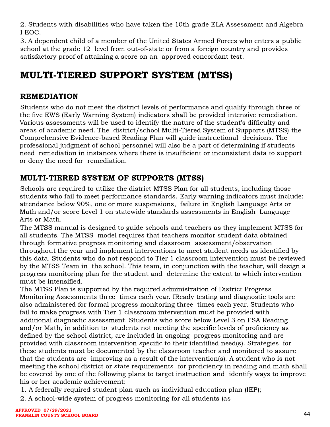2. Students with disabilities who have taken the 10th grade ELA Assessment and Algebra I EOC.

3. A dependent child of a member of the United States Armed Forces who enters a public school at the grade 12 level from out-of-state or from a foreign country and provides satisfactory proof of attaining a score on an approved concordant test.

# <span id="page-44-0"></span>MULTI-TIERED SUPPORT SYSTEM (MTSS)

### <span id="page-44-1"></span>REMEDIATION

Students who do not meet the district levels of performance and qualify through three of the five EWS (Early Warning System) indicators shall be provided intensive remediation. Various assessments will be used to identify the nature of the student's difficulty and areas of academic need. The district/school Multi-Tiered System of Supports (MTSS) the Comprehensive Evidence-based Reading Plan will guide instructional decisions. The professional judgment of school personnel will also be a part of determining if students need remediation in instances where there is insufficient or inconsistent data to support or deny the need for remediation.

### <span id="page-44-2"></span>MULTI-TIERED SYSTEM OF SUPPORTS (MTSS)

Schools are required to utilize the district MTSS Plan for all students, including those students who fail to meet performance standards. Early warning indicators must include: attendance below 90%, one or more suspensions, failure in English Language Arts or Math and/or score Level 1 on statewide standards assessments in English Language Arts or Math.

The MTSS manual is designed to guide schools and teachers as they implement MTSS for all students. The MTSS model requires that teachers monitor student data obtained through formative progress monitoring and classroom assessment/observation throughout the year and implement interventions to meet student needs as identified by this data. Students who do not respond to Tier 1 classroom intervention must be reviewed by the MTSS Team in the school. This team, in conjunction with the teacher, will design a progress monitoring plan for the student and determine the extent to which intervention must be intensified.

The MTSS Plan is supported by the required administration of District Progress Monitoring Assessments three times each year. IReady testing and diagnostic tools are also administered for formal progress monitoring three times each year. Students who fail to make progress with Tier 1 classroom intervention must be provided with additional diagnostic assessment. Students who score below Level 3 on FSA Reading and/or Math, in addition to students not meeting the specific levels of proficiency as defined by the school district, are included in ongoing progress monitoring and are provided with classroom intervention specific to their identified need(s). Strategies for these students must be documented by the classroom teacher and monitored to assure that the students are improving as a result of the intervention(s). A student who is not meeting the school district or state requirements for proficiency in reading and math shall be covered by one of the following plans to target instruction and identify ways to improve his or her academic achievement:

- 1. A federally required student plan such as individual education plan (IEP);
- 2. A school-wide system of progress monitoring for all students (as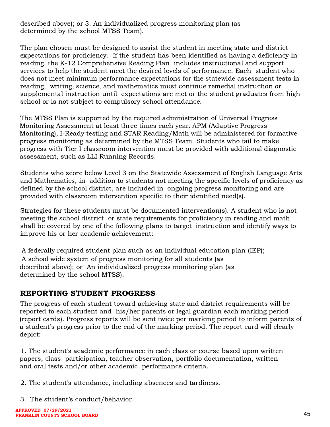described above); or 3. An individualized progress monitoring plan (as determined by the school MTSS Team).

The plan chosen must be designed to assist the student in meeting state and district expectations for proficiency. If the student has been identified as having a deficiency in reading, the K-12 Comprehensive Reading Plan includes instructional and support services to help the student meet the desired levels of performance. Each student who does not meet minimum performance expectations for the statewide assessment tests in reading, writing, science, and mathematics must continue remedial instruction or supplemental instruction until expectations are met or the student graduates from high school or is not subject to compulsory school attendance.

The MTSS Plan is supported by the required administration of Universal Progress Monitoring Assessment at least three times each year. APM (Adaptive Progress Monitoring), I-Ready testing and STAR Reading/Math will be administered for formative progress monitoring as determined by the MTSS Team. Students who fail to make progress with Tier I classroom intervention must be provided with additional diagnostic assessment, such as LLI Running Records.

Students who score below Level 3 on the Statewide Assessment of English Language Arts and Mathematics, in addition to students not meeting the specific levels of proficiency as defined by the school district, are included in ongoing progress monitoring and are provided with classroom intervention specific to their identified need(s).

Strategies for these students must be documented intervention(s). A student who is not meeting the school district or state requirements for proficiency in reading and math shall be covered by one of the following plans to target instruction and identify ways to improve his or her academic achievement:

A federally required student plan such as an individual education plan (IEP); A school wide system of progress monitoring for all students (as described above); or An individualized progress monitoring plan (as determined by the school MTSS).

### <span id="page-45-0"></span>REPORTING STUDENT PROGRESS

The progress of each student toward achieving state and district requirements will be reported to each student and his/her parents or legal guardian each marking period (report cards). Progress reports will be sent twice per marking period to inform parents of a student's progress prior to the end of the marking period. The report card will clearly depict:

1. The student's academic performance in each class or course based upon written papers, class participation, teacher observation, portfolio documentation, written and oral tests and/or other academic performance criteria.

2. The student's attendance, including absences and tardiness.

3. The student's conduct/behavior.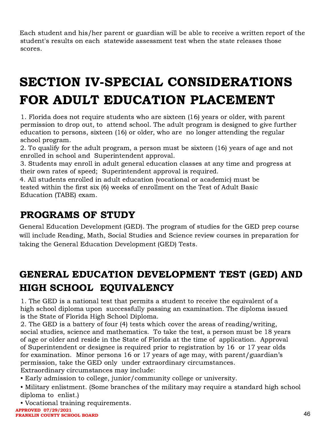Each student and his/her parent or guardian will be able to receive a written report of the student's results on each statewide assessment test when the state releases those scores.

# <span id="page-46-0"></span>SECTION IV-SPECIAL CONSIDERATIONS FOR ADULT EDUCATION PLACEMENT

1. Florida does not require students who are sixteen (16) years or older, with parent permission to drop out, to attend school. The adult program is designed to give further education to persons, sixteen (16) or older, who are no longer attending the regular school program.

2. To qualify for the adult program, a person must be sixteen (16) years of age and not enrolled in school and Superintendent approval.

3. Students may enroll in adult general education classes at any time and progress at their own rates of speed; Superintendent approval is required.

4. All students enrolled in adult education (vocational or academic) must be tested within the first six (6) weeks of enrollment on the Test of Adult Basic Education (TABE) exam.

# <span id="page-46-1"></span>PROGRAMS OF STUDY

General Education Development (GED). The program of studies for the GED prep course will include Reading, Math, Social Studies and Science review courses in preparation for taking the General Education Development (GED) Tests.

# <span id="page-46-2"></span>GENERAL EDUCATION DEVELOPMENT TEST (GED) AND HIGH SCHOOL EQUIVALENCY

1. The GED is a national test that permits a student to receive the equivalent of a high school diploma upon successfully passing an examination. The diploma issued is the State of Florida High School Diploma.

2. The GED is a battery of four (4) tests which cover the areas of reading/writing, social studies, science and mathematics. To take the test, a person must be 18 years of age or older and reside in the State of Florida at the time of application. Approval of Superintendent or designee is required prior to registration by 16 or 17 year olds for examination. Minor persons 16 or 17 years of age may, with parent/guardian's permission, take the GED only under extraordinary circumstances.

Extraordinary circumstances may include:

- Early admission to college, junior/community college or university.
- Military enlistment. (Some branches of the military may require a standard high school diploma to enlist.)
- Vocational training requirements.

**APPROVED 07/29/2021 FRANKLIN COUNTY SCHOOL BOARD**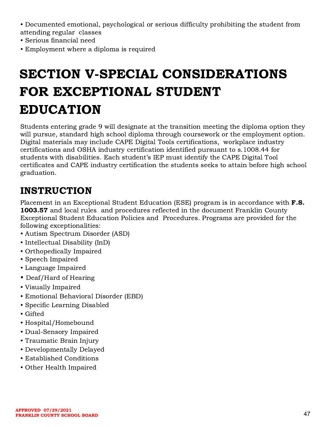• Documented emotional, psychological or serious difficulty prohibiting the student from attending regular classes

- Serious financial need
- Employment where a diploma is required

# SECTION V-SPECIAL CONSIDERATIONS FOR EXCEPTIONAL STUDENT EDUCATION

<span id="page-47-0"></span>Students entering grade 9 will designate at the transition meeting the diploma option they will pursue, standard high school diploma through coursework or the employment option. Digital materials may include CAPE Digital Tools certifications, workplace industry certifications and OSHA industry certification identified pursuant to s.1008.44 for students with disabilities. Each student's IEP must identify the CAPE Digital Tool certificates and CAPE industry certification the students seeks to attain before high school graduation.

## <span id="page-47-1"></span>**INSTRUCTION**

Placement in an Exceptional Student Education (ESE) program is in accordance with **F.S.** 1003.57 and local rules and procedures reflected in the document Franklin County Exceptional Student Education Policies and Procedures. Programs are provided for the following exceptionalities:

- Autism Spectrum Disorder (ASD)
- Intellectual Disability (InD)
- Orthopedically Impaired
- Speech Impaired
- Language Impaired
- Deaf/Hard of Hearing
- Visually Impaired
- Emotional Behavioral Disorder (EBD)
- Specific Learning Disabled
- Gifted
- Hospital/Homebound
- Dual-Sensory Impaired
- Traumatic Brain Injury
- Developmentally Delayed
- Established Conditions
- Other Health Impaired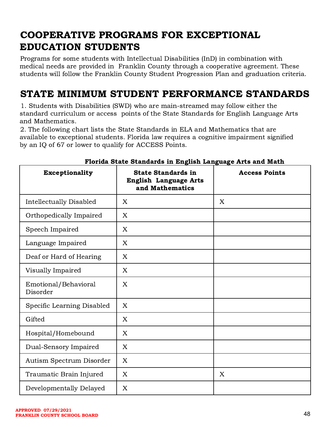# <span id="page-48-0"></span>COOPERATIVE PROGRAMS FOR EXCEPTIONAL EDUCATION STUDENTS

Programs for some students with Intellectual Disabilities (InD) in combination with medical needs are provided in Franklin County through a cooperative agreement. These students will follow the Franklin County Student Progression Plan and graduation criteria.

### <span id="page-48-1"></span>STATE MINIMUM STUDENT PERFORMANCE STANDARDS

1. Students with Disabilities (SWD) who are main-streamed may follow either the standard curriculum or access points of the State Standards for English Language Arts and Mathematics.

2. The following chart lists the State Standards in ELA and Mathematics that are available to exceptional students. Florida law requires a cognitive impairment signified by an IQ of 67 or lower to qualify for ACCESS Points.

| <b>Exceptionality</b>            | <b>State Standards in</b><br><b>English Language Arts</b><br>and Mathematics | <b>Access Points</b> |
|----------------------------------|------------------------------------------------------------------------------|----------------------|
| <b>Intellectually Disabled</b>   | $\mathbf{X}$                                                                 | X                    |
| Orthopedically Impaired          | X                                                                            |                      |
| Speech Impaired                  | X                                                                            |                      |
| Language Impaired                | X                                                                            |                      |
| Deaf or Hard of Hearing          | X                                                                            |                      |
| Visually Impaired                | X                                                                            |                      |
| Emotional/Behavioral<br>Disorder | X                                                                            |                      |
| Specific Learning Disabled       | X                                                                            |                      |
| Gifted                           | X                                                                            |                      |
| Hospital/Homebound               | X                                                                            |                      |
| Dual-Sensory Impaired            | X                                                                            |                      |
| Autism Spectrum Disorder         | X                                                                            |                      |
| Traumatic Brain Injured          | X                                                                            | X                    |
| Developmentally Delayed          | X                                                                            |                      |

#### Florida State Standards in English Language Arts and Math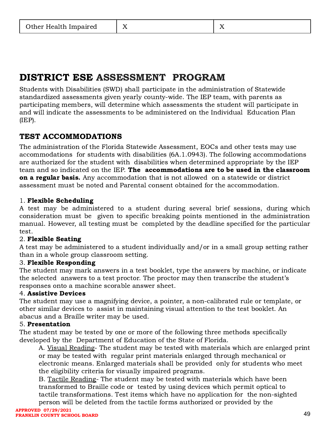# <span id="page-49-0"></span>DISTRICT ESE ASSESSMENT PROGRAM

Students with Disabilities (SWD) shall participate in the administration of Statewide standardized assessments given yearly county-wide. The IEP team, with parents as participating members, will determine which assessments the student will participate in and will indicate the assessments to be administered on the Individual Education Plan (IEP).

### <span id="page-49-1"></span>TEST ACCOMMODATIONS

The administration of the Florida Statewide Assessment, EOCs and other tests may use accommodations for students with disabilities (6A.1.0943). The following accommodations are authorized for the student with disabilities when determined appropriate by the IEP team and so indicated on the IEP. The accommodations are to be used in the classroom on a regular basis. Any accommodation that is not allowed on a statewide or district assessment must be noted and Parental consent obtained for the accommodation.

#### 1. Flexible Scheduling

A test may be administered to a student during several brief sessions, during which consideration must be given to specific breaking points mentioned in the administration manual. However, all testing must be completed by the deadline specified for the particular test.

#### 2. Flexible Seating

A test may be administered to a student individually and/or in a small group setting rather than in a whole group classroom setting.

#### 3. Flexible Responding

The student may mark answers in a test booklet, type the answers by machine, or indicate the selected answers to a test proctor. The proctor may then transcribe the student's responses onto a machine scorable answer sheet.

#### 4. Assistive Devices

The student may use a magnifying device, a pointer, a non-calibrated rule or template, or other similar devices to assist in maintaining visual attention to the test booklet. An abacus and a Braille writer may be used.

#### 5. Presentation

The student may be tested by one or more of the following three methods specifically developed by the Department of Education of the State of Florida.

A. Visual Reading- The student may be tested with materials which are enlarged print or may be tested with regular print materials enlarged through mechanical or electronic means. Enlarged materials shall be provided only for students who meet the eligibility criteria for visually impaired programs.

B. Tactile Reading- The student may be tested with materials which have been transformed to Braille code or tested by using devices which permit optical to tactile transformations. Test items which have no application for the non-sighted person will be deleted from the tactile forms authorized or provided by the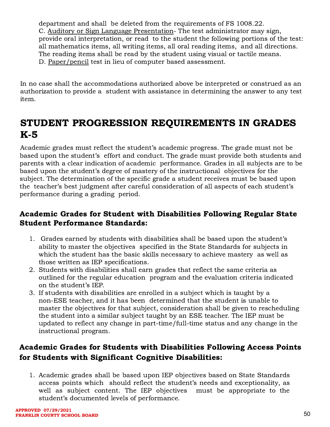department and shall be deleted from the requirements of FS 1008.22. C. Auditory or Sign Language Presentation- The test administrator may sign, provide oral interpretation, or read to the student the following portions of the test: all mathematics items, all writing items, all oral reading items, and all directions. The reading items shall be read by the student using visual or tactile means. D. Paper/pencil test in lieu of computer based assessment.

In no case shall the accommodations authorized above be interpreted or construed as an authorization to provide a student with assistance in determining the answer to any test item.

## <span id="page-50-0"></span>STUDENT PROGRESSION REQUIREMENTS IN GRADES K-5

Academic grades must reflect the student's academic progress. The grade must not be based upon the student's effort and conduct. The grade must provide both students and parents with a clear indication of academic performance. Grades in all subjects are to be based upon the student's degree of mastery of the instructional objectives for the subject. The determination of the specific grade a student receives must be based upon the teacher's best judgment after careful consideration of all aspects of each student's performance during a grading period.

### <span id="page-50-1"></span>Academic Grades for Student with Disabilities Following Regular State Student Performance Standards:

- 1. Grades earned by students with disabilities shall be based upon the student's ability to master the objectives specified in the State Standards for subjects in which the student has the basic skills necessary to achieve mastery as well as those written as IEP specifications.
- 2. Students with disabilities shall earn grades that reflect the same criteria as outlined for the regular education program and the evaluation criteria indicated on the student's IEP.
- 3. If students with disabilities are enrolled in a subject which is taught by a non-ESE teacher, and it has been determined that the student is unable to master the objectives for that subject, consideration shall be given to rescheduling the student into a similar subject taught by an ESE teacher. The IEP must be updated to reflect any change in part-time/full-time status and any change in the instructional program.

### <span id="page-50-2"></span>Academic Grades for Students with Disabilities Following Access Points for Students with Significant Cognitive Disabilities:

1. Academic grades shall be based upon IEP objectives based on State Standards access points which should reflect the student's needs and exceptionality, as well as subject content. The IEP objectives must be appropriate to the student's documented levels of performance.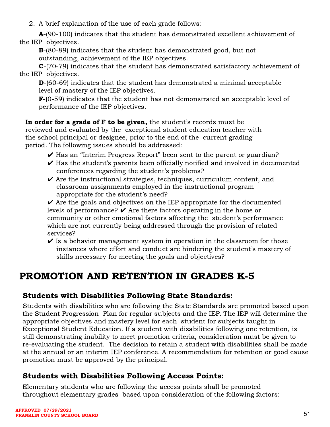2. A brief explanation of the use of each grade follows:

A-(90-100) indicates that the student has demonstrated excellent achievement of the IEP objectives.

B-(80-89) indicates that the student has demonstrated good, but not outstanding, achievement of the IEP objectives.

C-(70-79) indicates that the student has demonstrated satisfactory achievement of the IEP objectives.

D-(60-69) indicates that the student has demonstrated a minimal acceptable level of mastery of the IEP objectives.

 $\mathbf{F}$ -(0-59) indicates that the student has not demonstrated an acceptable level of performance of the IEP objectives.

In order for a grade of F to be given, the student's records must be reviewed and evaluated by the exceptional student education teacher with the school principal or designee, prior to the end of the current grading period. The following issues should be addressed:

- ✔ Has an "Interim Progress Report" been sent to the parent or guardian?
- $\vee$  Has the student's parents been officially notified and involved in documented conferences regarding the student's problems?
- $\vee$  Are the instructional strategies, techniques, curriculum content, and classroom assignments employed in the instructional program appropriate for the student's need?

 $\vee$  Are the goals and objectives on the IEP appropriate for the documented levels of performance?  $\vee$  Are there factors operating in the home or community or other emotional factors affecting the student's performance which are not currently being addressed through the provision of related services?

 $\vee$  Is a behavior management system in operation in the classroom for those instances where effort and conduct are hindering the student's mastery of skills necessary for meeting the goals and objectives?

## <span id="page-51-0"></span>PROMOTION AND RETENTION IN GRADES K-5

### <span id="page-51-1"></span>Students with Disabilities Following State Standards:

Students with disabilities who are following the State Standards are promoted based upon the Student Progression Plan for regular subjects and the IEP. The IEP will determine the appropriate objectives and mastery level for each student for subjects taught in Exceptional Student Education. If a student with disabilities following one retention, is still demonstrating inability to meet promotion criteria, consideration must be given to re-evaluating the student. The decision to retain a student with disabilities shall be made at the annual or an interim IEP conference. A recommendation for retention or good cause promotion must be approved by the principal.

### <span id="page-51-2"></span>Students with Disabilities Following Access Points:

Elementary students who are following the access points shall be promoted throughout elementary grades based upon consideration of the following factors: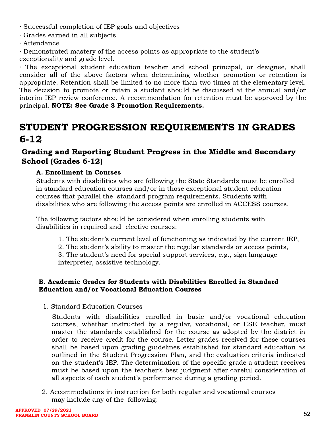∙ Successful completion of IEP goals and objectives

- ∙ Grades earned in all subjects
- ∙ Attendance

∙ Demonstrated mastery of the access points as appropriate to the student's exceptionality and grade level.

The exceptional student education teacher and school principal, or designee, shall consider all of the above factors when determining whether promotion or retention is appropriate. Retention shall be limited to no more than two times at the elementary level. The decision to promote or retain a student should be discussed at the annual and/or interim IEP review conference. A recommendation for retention must be approved by the principal. NOTE: See Grade 3 Promotion Requirements.

## <span id="page-52-0"></span>STUDENT PROGRESSION REQUIREMENTS IN GRADES 6-12

### <span id="page-52-1"></span>Grading and Reporting Student Progress in the Middle and Secondary School (Grades 6-12)

### <span id="page-52-2"></span>A. Enrollment in Courses

Students with disabilities who are following the State Standards must be enrolled in standard education courses and/or in those exceptional student education courses that parallel the standard program requirements. Students with disabilities who are following the access points are enrolled in ACCESS courses.

The following factors should be considered when enrolling students with disabilities in required and elective courses:

- 1. The student's current level of functioning as indicated by the current IEP,
- 2. The student's ability to master the regular standards or access points,

3. The student's need for special support services, e.g., sign language interpreter, assistive technology.

#### <span id="page-52-3"></span>B. Academic Grades for Students with Disabilities Enrolled in Standard Education and/or Vocational Education Courses

1. Standard Education Courses

Students with disabilities enrolled in basic and/or vocational education courses, whether instructed by a regular, vocational, or ESE teacher, must master the standards established for the course as adopted by the district in order to receive credit for the course. Letter grades received for these courses shall be based upon grading guidelines established for standard education as outlined in the Student Progression Plan, and the evaluation criteria indicated on the student's IEP. The determination of the specific grade a student receives must be based upon the teacher's best judgment after careful consideration of all aspects of each student's performance during a grading period.

2. Accommodations in instruction for both regular and vocational courses may include any of the following: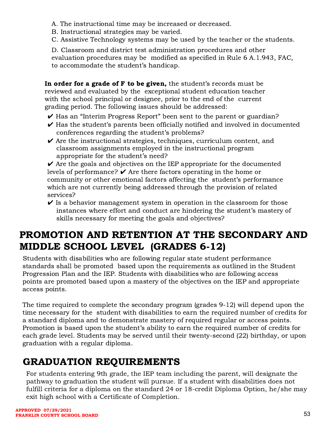A. The instructional time may be increased or decreased.

- B. Instructional strategies may be varied.
- C. Assistive Technology systems may be used by the teacher or the students.

D. Classroom and district test administration procedures and other evaluation procedures may be modified as specified in Rule 6 A.1.943, FAC, to accommodate the student's handicap.

In order for a grade of F to be given, the student's records must be reviewed and evaluated by the exceptional student education teacher with the school principal or designee, prior to the end of the current grading period. The following issues should be addressed:

- ✔ Has an "Interim Progress Report" been sent to the parent or guardian?
- $\vee$  Has the student's parents been officially notified and involved in documented conferences regarding the student's problems?
- $\vee$  Are the instructional strategies, techniques, curriculum content, and classroom assignments employed in the instructional program appropriate for the student's need?

 $\vee$  Are the goals and objectives on the IEP appropriate for the documented levels of performance?  $\vee$  Are there factors operating in the home or community or other emotional factors affecting the student's performance which are not currently being addressed through the provision of related services?

 $\vee$  Is a behavior management system in operation in the classroom for those instances where effort and conduct are hindering the student's mastery of skills necessary for meeting the goals and objectives?

# <span id="page-53-0"></span>PROMOTION AND RETENTION AT THE SECONDARY AND MIDDLE SCHOOL LEVEL (GRADES 6-12)

Students with disabilities who are following regular state student performance standards shall be promoted based upon the requirements as outlined in the Student Progression Plan and the IEP. Students with disabilities who are following access points are promoted based upon a mastery of the objectives on the IEP and appropriate access points.

The time required to complete the secondary program (grades 9-12) will depend upon the time necessary for the student with disabilities to earn the required number of credits for a standard diploma and to demonstrate mastery of required regular or access points. Promotion is based upon the student's ability to earn the required number of credits for each grade level. Students may be served until their twenty-second (22) birthday, or upon graduation with a regular diploma.

# <span id="page-53-1"></span>GRADUATION REQUIREMENTS

For students entering 9th grade, the IEP team including the parent, will designate the pathway to graduation the student will pursue. If a student with disabilities does not fulfill criteria for a diploma on the standard 24 or 18-credit Diploma Option, he/she may exit high school with a Certificate of Completion.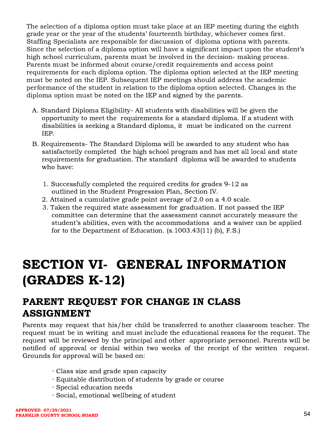The selection of a diploma option must take place at an IEP meeting during the eighth grade year or the year of the students' fourteenth birthday, whichever comes first. Staffing Specialists are responsible for discussion of diploma options with parents. Since the selection of a diploma option will have a significant impact upon the student's high school curriculum, parents must be involved in the decision- making process. Parents must be informed about course/credit requirements and access point requirements for each diploma option. The diploma option selected at the IEP meeting must be noted on the IEP. Subsequent IEP meetings should address the academic performance of the student in relation to the diploma option selected. Changes in the diploma option must be noted on the IEP and signed by the parents.

- A. Standard Diploma Eligibility- All students with disabilities will be given the opportunity to meet the requirements for a standard diploma. If a student with disabilities is seeking a Standard diploma, it must be indicated on the current IEP.
- B. Requirements- The Standard Diploma will be awarded to any student who has satisfactorily completed the high school program and has met all local and state requirements for graduation. The standard diploma will be awarded to students who have:
	- 1. Successfully completed the required credits for grades 9-12 as outlined in the Student Progression Plan, Section IV.
	- 2. Attained a cumulative grade point average of 2.0 on a 4.0 scale.
	- 3. Taken the required state assessment for graduation. If not passed the IEP committee can determine that the assessment cannot accurately measure the student's abilities, even with the accommodations and a waiver can be applied for to the Department of Education. (s.1003.43(11) (b), F.S.)

# <span id="page-54-0"></span>SECTION VI- GENERAL INFORMATION (GRADES K-12)

### <span id="page-54-1"></span>PARENT REQUEST FOR CHANGE IN CLASS ASSIGNMENT

Parents may request that his/her child be transferred to another classroom teacher. The request must be in writing and must include the educational reasons for the request. The request will be reviewed by the principal and other appropriate personnel. Parents will be notified of approval or denial within two weeks of the receipt of the written request. Grounds for approval will be based on:

- ∙ Class size and grade span capacity
- ∙ Equitable distribution of students by grade or course
- ∙ Special education needs
- ∙ Social, emotional wellbeing of student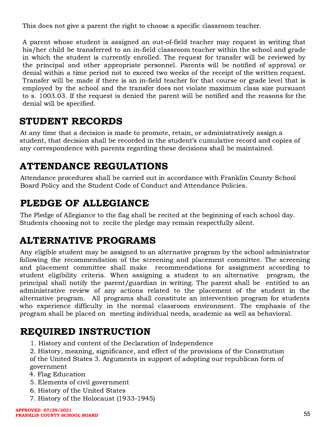This does not give a parent the right to choose a specific classroom teacher.

A parent whose student is assigned an out-of-field teacher may request in writing that his/her child be transferred to an in-field classroom teacher within the school and grade in which the student is currently enrolled. The request for transfer will be reviewed by the principal and other appropriate personnel. Parents will be notified of approval or denial within a time period not to exceed two weeks of the receipt of the written request. Transfer will be made if there is an in-field teacher for that course or grade level that is employed by the school and the transfer does not violate maximum class size pursuant to s. 1003.03. If the request is denied the parent will be notified and the reasons for the denial will be specified.

### <span id="page-55-0"></span>STUDENT RECORDS

At any time that a decision is made to promote, retain, or administratively assign a student, that decision shall be recorded in the student's cumulative record and copies of any correspondence with parents regarding these decisions shall be maintained.

# <span id="page-55-1"></span>ATTENDANCE REGULATIONS

Attendance procedures shall be carried out in accordance with Franklin County School Board Policy and the Student Code of Conduct and Attendance Policies.

# <span id="page-55-2"></span>PLEDGE OF ALLEGIANCE

The Pledge of Allegiance to the flag shall be recited at the beginning of each school day. Students choosing not to recite the pledge may remain respectfully silent.

# <span id="page-55-3"></span>ALTERNATIVE PROGRAMS

Any eligible student may be assigned to an alternative program by the school administrator following the recommendation of the screening and placement committee. The screening and placement committee shall make recommendations for assignment according to student eligibility criteria. When assigning a student to an alternative program, the principal shall notify the parent/guardian in writing. The parent shall be entitled to an administrative review of any actions related to the placement of the student in the alternative program. All programs shall constitute an intervention program for students who experience difficulty in the normal classroom environment. The emphasis of the program shall be placed on meeting individual needs, academic as well as behavioral.

## <span id="page-55-4"></span>REQUIRED INSTRUCTION

- 1. History and content of the Declaration of Independence
- 2. History, meaning, significance, and effect of the provisions of the Constitution of the United States 3. Arguments in support of adopting our republican form of

government

- 4. Flag Education
- 5. Elements of civil government
- 6. History of the United States
- 7. History of the Holocaust (1933-1945)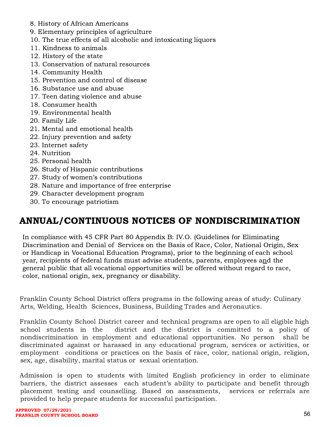- 8. History of African Americans
- 9. Elementary principles of agriculture
- 10. The true effects of all alcoholic and intoxicating liquors
- 11. Kindness to animals
- 12. History of the state
- 13. Conservation of natural resources
- 14. Community Health
- 15. Prevention and control of disease
- 16. Substance use and abuse
- 17. Teen dating violence and abuse
- 18. Consumer health
- 19. Environmental health
- 20. Family Life
- 21. Mental and emotional health
- 22. Injury prevention and safety
- 23. Internet safety
- 24. Nutrition
- 25. Personal health
- 26. Study of Hispanic contributions
- 27. Study of women's contributions
- 28. Nature and importance of free enterprise
- 29. Character development program
- 30. To encourage patriotism

### <span id="page-56-0"></span>ANNUAL/CONTINUOUS NOTICES OF NONDISCRIMINATION

In compliance with 45 CFR Part 80 Appendix B: IV.O. (Guidelines for Eliminating Discrimination and Denial of Services on the Basis of Race, Color, National Origin, Sex or Handicap in Vocational Education Programs), prior to the beginning of each school year, recipients of federal funds must advise students, parents, employees and the general public that all vocational opportunities will be offered without regard to race, color, national origin, sex, pregnancy or disability.

Franklin County School District offers programs in the following areas of study: Culinary Arts, Welding, Health Sciences, Business, Building Trades and Aeronautics.

Franklin County School District career and technical programs are open to all eligible high school students in the district and the district is committed to a policy of nondiscrimination in employment and educational opportunities. No person shall be discriminated against or harassed in any educational program, services or activities, or employment conditions or practices on the basis of race, color, national origin, religion, sex, age, disability, marital status or sexual orientation.

Admission is open to students with limited English proficiency in order to eliminate barriers, the district assesses each student's ability to participate and benefit through placement testing and counselling. Based on assessments, services or referrals are provided to help prepare students for successful participation.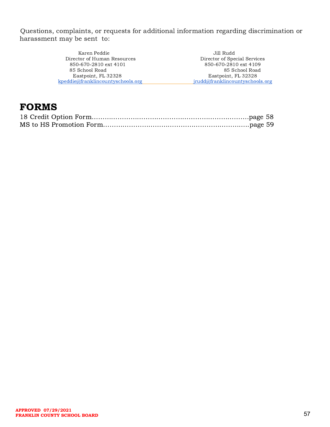Questions, complaints, or requests for additional information regarding discrimination or harassment may be sent to:

| Karen Peddie                      | Jill Rudd                       |
|-----------------------------------|---------------------------------|
| Director of Human Resources       | Director of Special Services    |
| 850-670-2810 ext 4101             | 850-670-2810 ext 4109           |
| 85 School Road                    | 85 School Road                  |
| Eastpoint, FL 32328               | Eastpoint, FL 32328             |
| kpeddie@franklincountyschools.org | jrudd@franklincountyschools.org |

### FORMS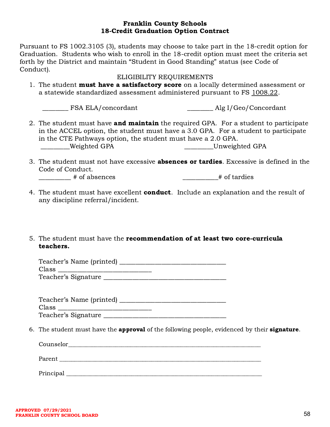#### Franklin County Schools 18-Credit Graduation Option Contract

Pursuant to FS 1002.3105 (3), students may choose to take part in the 18-credit option for Graduation. Students who wish to enroll in the 18-credit option must meet the criteria set forth by the District and maintain "Student in Good Standing" status (see Code of Conduct).

#### ELIGIBILITY REQUIREMENTS

1. The student **must have a satisfactory score** on a locally determined assessment or a statewide standardized assessment administered pursuant to FS [1008.22.](http://www.leg.state.fl.us/statutes/index.cfm?App_mode=Display_Statute&Search_String=accel&URL=1000-1099/1008/Sections/1008.22.html)

\_\_\_\_\_\_\_\_ FSA ELA/concordant \_\_\_\_\_\_\_\_ Alg I/Geo/Concordant

- 2. The student must have **and maintain** the required GPA. For a student to participate in the ACCEL option, the student must have a 3.0 GPA. For a student to participate in the CTE Pathways option, the student must have a 2.0 GPA. \_\_\_\_\_\_\_\_\_Weighted GPA \_\_\_\_\_\_\_\_\_Unweighted GPA
- 3. The student must not have excessive **absences or tardies**. Excessive is defined in the Code of Conduct.

\_\_\_\_\_\_\_\_\_\_ # of absences \_\_\_\_\_\_\_\_\_\_\_# of tardies

- 
- 4. The student must have excellent **conduct**. Include an explanation and the result of any discipline referral/incident.

#### 5. The student must have the recommendation of at least two core-curricula teachers.

| Teacher's Name (printed) |  |
|--------------------------|--|
| Class                    |  |
| Teacher's Signature      |  |

Teacher's Name (printed) \_\_\_\_\_\_\_\_\_\_\_\_\_\_\_\_\_\_\_\_\_\_\_\_\_\_\_\_\_\_\_\_\_ Class \_\_\_\_\_\_\_\_\_\_\_\_\_\_\_\_\_\_\_\_\_\_\_\_\_\_\_\_\_ Teacher's Signature

6. The student must have the **approval** of the following people, evidenced by their **signature**.

 $\frac{1}{2}$ Parent \_\_\_\_\_\_\_\_\_\_\_\_\_\_\_\_\_\_\_\_\_\_\_\_\_\_\_\_\_\_\_\_\_\_\_\_\_\_\_\_\_\_\_\_\_\_\_\_\_\_\_\_\_\_\_\_\_\_\_\_\_\_\_\_\_\_\_\_ Principal \_\_\_\_\_\_\_\_\_\_\_\_\_\_\_\_\_\_\_\_\_\_\_\_\_\_\_\_\_\_\_\_\_\_\_\_\_\_\_\_\_\_\_\_\_\_\_\_\_\_\_\_\_\_\_\_\_\_\_\_\_\_\_\_\_\_